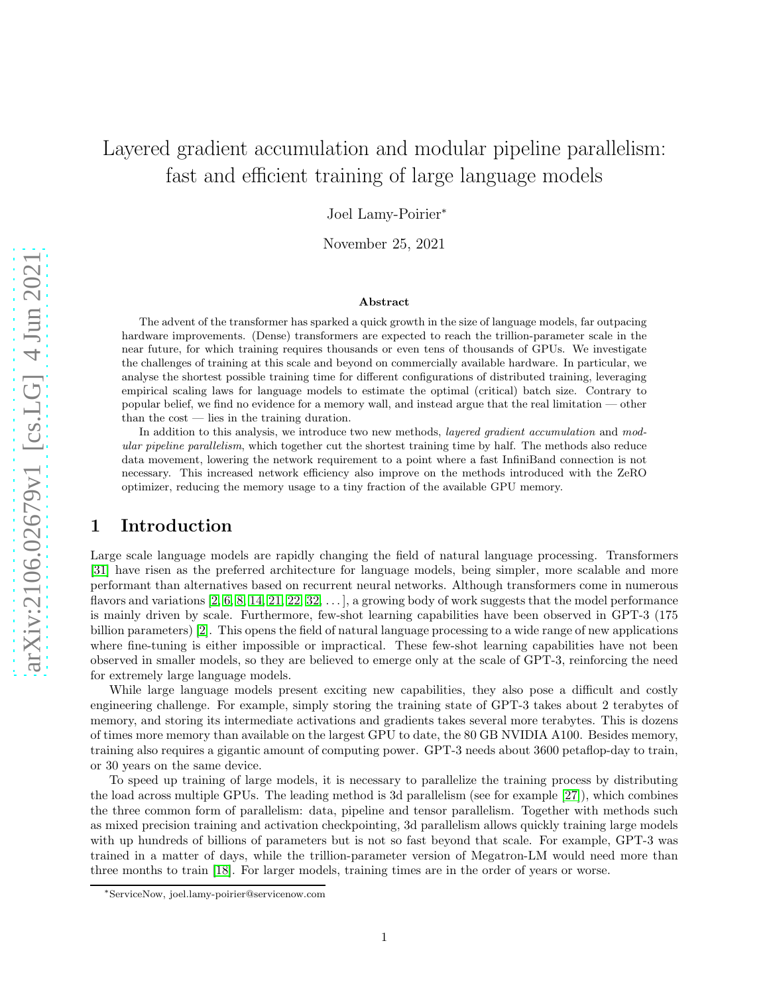# Layered gradient accumulation and modular pipeline parallelism: fast and efficient training of large language models

Joel Lamy-Poirier<sup>∗</sup>

November 25, 2021

#### Abstract

The advent of the transformer has sparked a quick growth in the size of language models, far outpacing hardware improvements. (Dense) transformers are expected to reach the trillion-parameter scale in the near future, for which training requires thousands or even tens of thousands of GPUs. We investigate the challenges of training at this scale and beyond on commercially available hardware. In particular, we analyse the shortest possible training time for different configurations of distributed training, leveraging empirical scaling laws for language models to estimate the optimal (critical) batch size. Contrary to popular belief, we find no evidence for a memory wall, and instead argue that the real limitation — other than the cost — lies in the training duration.

In addition to this analysis, we introduce two new methods, *layered gradient accumulation* and modular pipeline parallelism, which together cut the shortest training time by half. The methods also reduce data movement, lowering the network requirement to a point where a fast InfiniBand connection is not necessary. This increased network efficiency also improve on the methods introduced with the ZeRO optimizer, reducing the memory usage to a tiny fraction of the available GPU memory.

### 1 Introduction

Large scale language models are rapidly changing the field of natural language processing. Transformers [\[31\]](#page-16-0) have risen as the preferred architecture for language models, being simpler, more scalable and more performant than alternatives based on recurrent neural networks. Although transformers come in numerous flavors and variations [\[2,](#page-15-0) [6,](#page-15-1) [8,](#page-15-2) [14,](#page-15-3) [21,](#page-16-1) [22,](#page-16-2) [32,](#page-16-3) . . . ], a growing body of work suggests that the model performance is mainly driven by scale. Furthermore, few-shot learning capabilities have been observed in GPT-3 (175 billion parameters) [\[2\]](#page-15-0). This opens the field of natural language processing to a wide range of new applications where fine-tuning is either impossible or impractical. These few-shot learning capabilities have not been observed in smaller models, so they are believed to emerge only at the scale of GPT-3, reinforcing the need for extremely large language models.

While large language models present exciting new capabilities, they also pose a difficult and costly engineering challenge. For example, simply storing the training state of GPT-3 takes about 2 terabytes of memory, and storing its intermediate activations and gradients takes several more terabytes. This is dozens of times more memory than available on the largest GPU to date, the 80 GB NVIDIA A100. Besides memory, training also requires a gigantic amount of computing power. GPT-3 needs about 3600 petaflop-day to train, or 30 years on the same device.

To speed up training of large models, it is necessary to parallelize the training process by distributing the load across multiple GPUs. The leading method is 3d parallelism (see for example [\[27\]](#page-16-4)), which combines the three common form of parallelism: data, pipeline and tensor parallelism. Together with methods such as mixed precision training and activation checkpointing, 3d parallelism allows quickly training large models with up hundreds of billions of parameters but is not so fast beyond that scale. For example, GPT-3 was trained in a matter of days, while the trillion-parameter version of Megatron-LM would need more than three months to train [\[18\]](#page-16-5). For larger models, training times are in the order of years or worse.

<sup>∗</sup>ServiceNow, joel.lamy-poirier@servicenow.com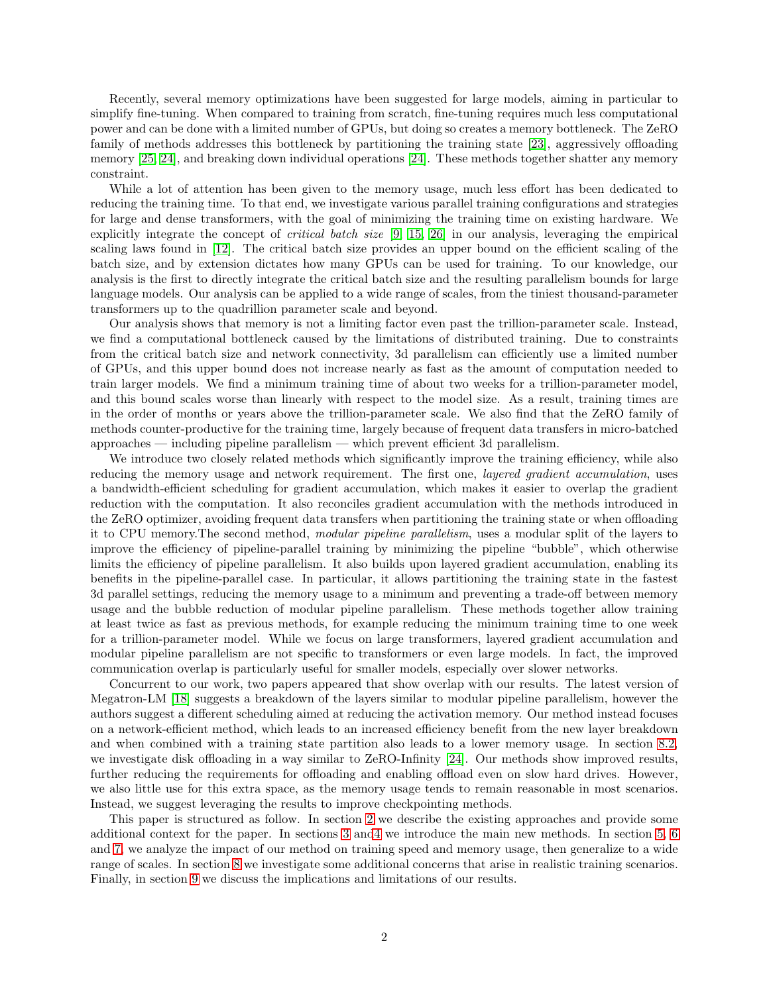Recently, several memory optimizations have been suggested for large models, aiming in particular to simplify fine-tuning. When compared to training from scratch, fine-tuning requires much less computational power and can be done with a limited number of GPUs, but doing so creates a memory bottleneck. The ZeRO family of methods addresses this bottleneck by partitioning the training state [\[23\]](#page-16-6), aggressively offloading memory [\[25,](#page-16-7) [24\]](#page-16-8), and breaking down individual operations [\[24\]](#page-16-8). These methods together shatter any memory constraint.

While a lot of attention has been given to the memory usage, much less effort has been dedicated to reducing the training time. To that end, we investigate various parallel training configurations and strategies for large and dense transformers, with the goal of minimizing the training time on existing hardware. We explicitly integrate the concept of critical batch size [\[9,](#page-15-4) [15,](#page-15-5) [26\]](#page-16-9) in our analysis, leveraging the empirical scaling laws found in [\[12\]](#page-15-6). The critical batch size provides an upper bound on the efficient scaling of the batch size, and by extension dictates how many GPUs can be used for training. To our knowledge, our analysis is the first to directly integrate the critical batch size and the resulting parallelism bounds for large language models. Our analysis can be applied to a wide range of scales, from the tiniest thousand-parameter transformers up to the quadrillion parameter scale and beyond.

Our analysis shows that memory is not a limiting factor even past the trillion-parameter scale. Instead, we find a computational bottleneck caused by the limitations of distributed training. Due to constraints from the critical batch size and network connectivity, 3d parallelism can efficiently use a limited number of GPUs, and this upper bound does not increase nearly as fast as the amount of computation needed to train larger models. We find a minimum training time of about two weeks for a trillion-parameter model, and this bound scales worse than linearly with respect to the model size. As a result, training times are in the order of months or years above the trillion-parameter scale. We also find that the ZeRO family of methods counter-productive for the training time, largely because of frequent data transfers in micro-batched approaches — including pipeline parallelism — which prevent efficient 3d parallelism.

We introduce two closely related methods which significantly improve the training efficiency, while also reducing the memory usage and network requirement. The first one, *layered gradient accumulation*, uses a bandwidth-efficient scheduling for gradient accumulation, which makes it easier to overlap the gradient reduction with the computation. It also reconciles gradient accumulation with the methods introduced in the ZeRO optimizer, avoiding frequent data transfers when partitioning the training state or when offloading it to CPU memory.The second method, modular pipeline parallelism, uses a modular split of the layers to improve the efficiency of pipeline-parallel training by minimizing the pipeline "bubble", which otherwise limits the efficiency of pipeline parallelism. It also builds upon layered gradient accumulation, enabling its benefits in the pipeline-parallel case. In particular, it allows partitioning the training state in the fastest 3d parallel settings, reducing the memory usage to a minimum and preventing a trade-off between memory usage and the bubble reduction of modular pipeline parallelism. These methods together allow training at least twice as fast as previous methods, for example reducing the minimum training time to one week for a trillion-parameter model. While we focus on large transformers, layered gradient accumulation and modular pipeline parallelism are not specific to transformers or even large models. In fact, the improved communication overlap is particularly useful for smaller models, especially over slower networks.

Concurrent to our work, two papers appeared that show overlap with our results. The latest version of Megatron-LM [\[18\]](#page-16-5) suggests a breakdown of the layers similar to modular pipeline parallelism, however the authors suggest a different scheduling aimed at reducing the activation memory. Our method instead focuses on a network-efficient method, which leads to an increased efficiency benefit from the new layer breakdown and when combined with a training state partition also leads to a lower memory usage. In section [8.2,](#page-11-0) we investigate disk offloading in a way similar to ZeRO-Infinity [\[24\]](#page-16-8). Our methods show improved results, further reducing the requirements for offloading and enabling offload even on slow hard drives. However, we also little use for this extra space, as the memory usage tends to remain reasonable in most scenarios. Instead, we suggest leveraging the results to improve checkpointing methods.

This paper is structured as follow. In section [2](#page-2-0) we describe the existing approaches and provide some additional context for the paper. In sections [3](#page-5-0) an[d4](#page-5-1) we introduce the main new methods. In section [5,](#page-6-0) [6](#page-8-0) and [7,](#page-9-0) we analyze the impact of our method on training speed and memory usage, then generalize to a wide range of scales. In section [8](#page-11-1) we investigate some additional concerns that arise in realistic training scenarios. Finally, in section [9](#page-13-0) we discuss the implications and limitations of our results.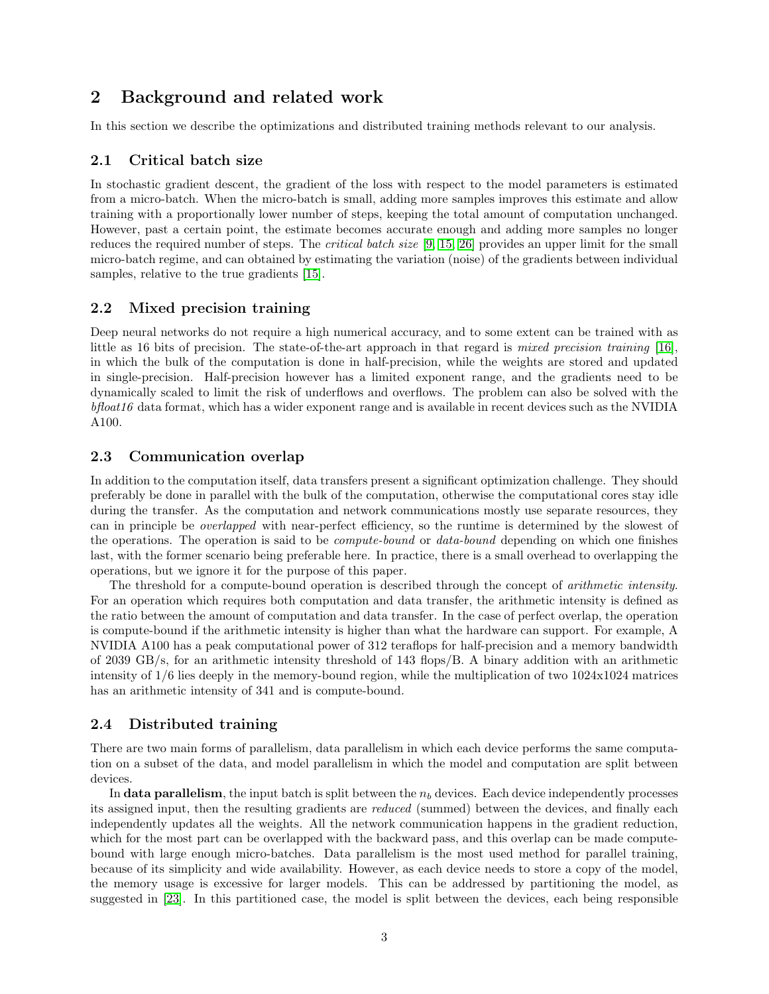# <span id="page-2-0"></span>2 Background and related work

In this section we describe the optimizations and distributed training methods relevant to our analysis.

### 2.1 Critical batch size

In stochastic gradient descent, the gradient of the loss with respect to the model parameters is estimated from a micro-batch. When the micro-batch is small, adding more samples improves this estimate and allow training with a proportionally lower number of steps, keeping the total amount of computation unchanged. However, past a certain point, the estimate becomes accurate enough and adding more samples no longer reduces the required number of steps. The critical batch size [\[9,](#page-15-4) [15,](#page-15-5) [26\]](#page-16-9) provides an upper limit for the small micro-batch regime, and can obtained by estimating the variation (noise) of the gradients between individual samples, relative to the true gradients [\[15\]](#page-15-5).

### 2.2 Mixed precision training

Deep neural networks do not require a high numerical accuracy, and to some extent can be trained with as little as 16 bits of precision. The state-of-the-art approach in that regard is mixed precision training [\[16\]](#page-15-7), in which the bulk of the computation is done in half-precision, while the weights are stored and updated in single-precision. Half-precision however has a limited exponent range, and the gradients need to be dynamically scaled to limit the risk of underflows and overflows. The problem can also be solved with the bfloat16 data format, which has a wider exponent range and is available in recent devices such as the NVIDIA A100.

### 2.3 Communication overlap

In addition to the computation itself, data transfers present a significant optimization challenge. They should preferably be done in parallel with the bulk of the computation, otherwise the computational cores stay idle during the transfer. As the computation and network communications mostly use separate resources, they can in principle be overlapped with near-perfect efficiency, so the runtime is determined by the slowest of the operations. The operation is said to be compute-bound or data-bound depending on which one finishes last, with the former scenario being preferable here. In practice, there is a small overhead to overlapping the operations, but we ignore it for the purpose of this paper.

The threshold for a compute-bound operation is described through the concept of arithmetic intensity. For an operation which requires both computation and data transfer, the arithmetic intensity is defined as the ratio between the amount of computation and data transfer. In the case of perfect overlap, the operation is compute-bound if the arithmetic intensity is higher than what the hardware can support. For example, A NVIDIA A100 has a peak computational power of 312 teraflops for half-precision and a memory bandwidth of 2039 GB/s, for an arithmetic intensity threshold of 143 flops/B. A binary addition with an arithmetic intensity of 1/6 lies deeply in the memory-bound region, while the multiplication of two 1024x1024 matrices has an arithmetic intensity of 341 and is compute-bound.

### <span id="page-2-1"></span>2.4 Distributed training

There are two main forms of parallelism, data parallelism in which each device performs the same computation on a subset of the data, and model parallelism in which the model and computation are split between devices.

In data parallelism, the input batch is split between the  $n<sub>b</sub>$  devices. Each device independently processes its assigned input, then the resulting gradients are reduced (summed) between the devices, and finally each independently updates all the weights. All the network communication happens in the gradient reduction, which for the most part can be overlapped with the backward pass, and this overlap can be made computebound with large enough micro-batches. Data parallelism is the most used method for parallel training, because of its simplicity and wide availability. However, as each device needs to store a copy of the model, the memory usage is excessive for larger models. This can be addressed by partitioning the model, as suggested in [\[23\]](#page-16-6). In this partitioned case, the model is split between the devices, each being responsible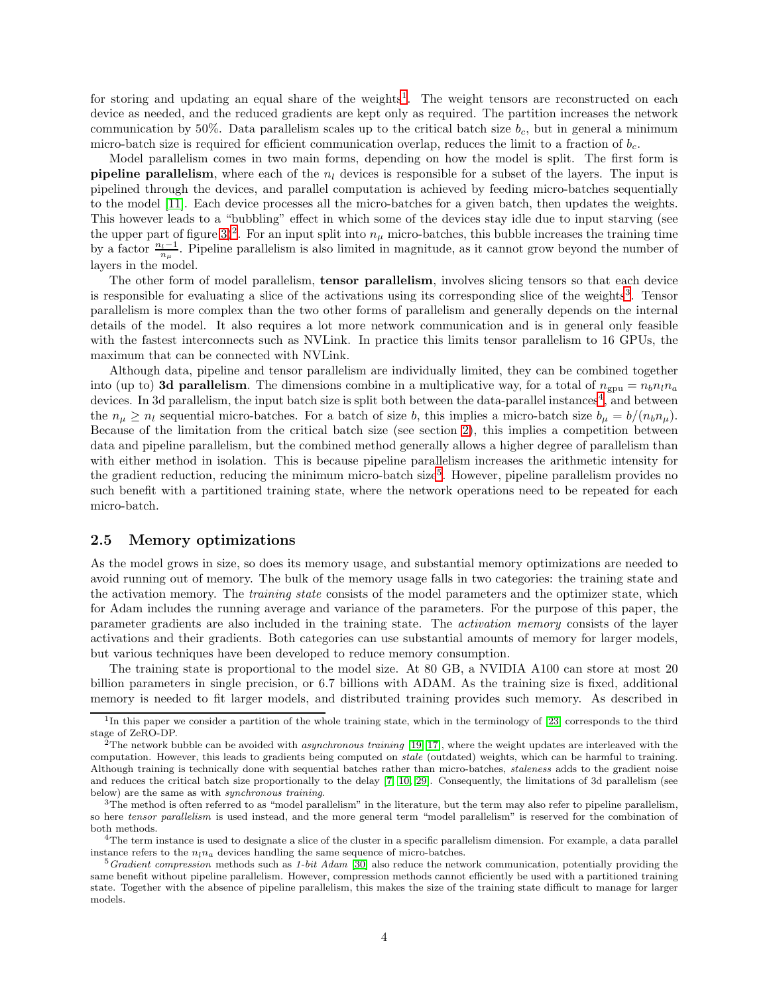for storing and updating an equal share of the weights<sup>[1](#page-3-0)</sup>. The weight tensors are reconstructed on each device as needed, and the reduced gradients are kept only as required. The partition increases the network communication by 50%. Data parallelism scales up to the critical batch size  $b_c$ , but in general a minimum micro-batch size is required for efficient communication overlap, reduces the limit to a fraction of  $b_c$ .

Model parallelism comes in two main forms, depending on how the model is split. The first form is **pipeline parallelism**, where each of the  $n_l$  devices is responsible for a subset of the layers. The input is pipelined through the devices, and parallel computation is achieved by feeding micro-batches sequentially to the model [\[11\]](#page-15-8). Each device processes all the micro-batches for a given batch, then updates the weights. This however leads to a "bubbling" effect in which some of the devices stay idle due to input starving (see the upper part of figure [3\)](#page-7-0)<sup>[2](#page-3-1)</sup>. For an input split into  $n<sub>\mu</sub>$  micro-batches, this bubble increases the training time by a factor  $\frac{n_l-1}{n_\mu}$ . Pipeline parallelism is also limited in magnitude, as it cannot grow beyond the number of layers in the model.

The other form of model parallelism, tensor parallelism, involves slicing tensors so that each device is responsible for evaluating a slice of the activations using its corresponding slice of the weights<sup>[3](#page-3-2)</sup>. Tensor parallelism is more complex than the two other forms of parallelism and generally depends on the internal details of the model. It also requires a lot more network communication and is in general only feasible with the fastest interconnects such as NVLink. In practice this limits tensor parallelism to 16 GPUs, the maximum that can be connected with NVLink.

Although data, pipeline and tensor parallelism are individually limited, they can be combined together into (up to) 3d parallelism. The dimensions combine in a multiplicative way, for a total of  $n_{\text{gpu}} = n_b n_l n_a$ devices. In 3d parallelism, the input batch size is split both between the data-parallel instances<sup>[4](#page-3-3)</sup>, and between the  $n_{\mu} \geq n_{l}$  sequential micro-batches. For a batch of size b, this implies a micro-batch size  $b_{\mu} = b/(n_{b}n_{\mu})$ . Because of the limitation from the critical batch size (see section [2\)](#page-18-0), this implies a competition between data and pipeline parallelism, but the combined method generally allows a higher degree of parallelism than with either method in isolation. This is because pipeline parallelism increases the arithmetic intensity for the gradient reduction, reducing the minimum micro-batch size<sup>[5](#page-3-4)</sup>. However, pipeline parallelism provides no such benefit with a partitioned training state, where the network operations need to be repeated for each micro-batch.

#### <span id="page-3-5"></span>2.5 Memory optimizations

As the model grows in size, so does its memory usage, and substantial memory optimizations are needed to avoid running out of memory. The bulk of the memory usage falls in two categories: the training state and the activation memory. The *training state* consists of the model parameters and the optimizer state, which for Adam includes the running average and variance of the parameters. For the purpose of this paper, the parameter gradients are also included in the training state. The activation memory consists of the layer activations and their gradients. Both categories can use substantial amounts of memory for larger models, but various techniques have been developed to reduce memory consumption.

The training state is proportional to the model size. At 80 GB, a NVIDIA A100 can store at most 20 billion parameters in single precision, or 6.7 billions with ADAM. As the training size is fixed, additional memory is needed to fit larger models, and distributed training provides such memory. As described in

<span id="page-3-0"></span><sup>&</sup>lt;sup>1</sup>In this paper we consider a partition of the whole training state, which in the terminology of [\[23\]](#page-16-6) corresponds to the third stage of ZeRO-DP.

<span id="page-3-1"></span><sup>&</sup>lt;sup>2</sup>The network bubble can be avoided with *asynchronous training* [\[19,](#page-16-10) [17\]](#page-15-9), where the weight updates are interleaved with the computation. However, this leads to gradients being computed on stale (outdated) weights, which can be harmful to training. Although training is technically done with sequential batches rather than micro-batches, staleness adds to the gradient noise and reduces the critical batch size proportionally to the delay [\[7,](#page-15-10) [10,](#page-15-11) [29\]](#page-16-11). Consequently, the limitations of 3d parallelism (see below) are the same as with synchronous training.

<span id="page-3-2"></span> $3$ The method is often referred to as "model parallelism" in the literature, but the term may also refer to pipeline parallelism, so here tensor parallelism is used instead, and the more general term "model parallelism" is reserved for the combination of both methods.

<span id="page-3-3"></span><sup>&</sup>lt;sup>4</sup>The term instance is used to designate a slice of the cluster in a specific parallelism dimension. For example, a data parallel instance refers to the  $n_l n_a$  devices handling the same sequence of micro-batches.

<span id="page-3-4"></span> $5$ Gradient compression methods such as 1-bit Adam [\[30\]](#page-16-12) also reduce the network communication, potentially providing the same benefit without pipeline parallelism. However, compression methods cannot efficiently be used with a partitioned training state. Together with the absence of pipeline parallelism, this makes the size of the training state difficult to manage for larger models.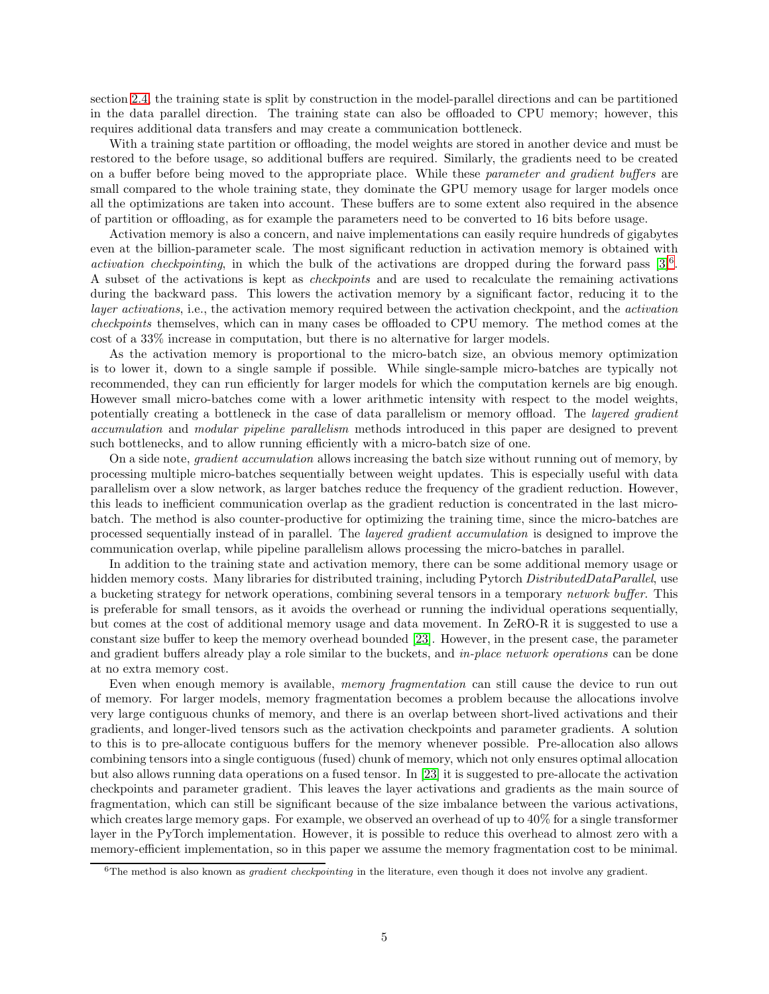section [2.4,](#page-2-1) the training state is split by construction in the model-parallel directions and can be partitioned in the data parallel direction. The training state can also be offloaded to CPU memory; however, this requires additional data transfers and may create a communication bottleneck.

With a training state partition or offloading, the model weights are stored in another device and must be restored to the before usage, so additional buffers are required. Similarly, the gradients need to be created on a buffer before being moved to the appropriate place. While these parameter and gradient buffers are small compared to the whole training state, they dominate the GPU memory usage for larger models once all the optimizations are taken into account. These buffers are to some extent also required in the absence of partition or offloading, as for example the parameters need to be converted to 16 bits before usage.

Activation memory is also a concern, and naive implementations can easily require hundreds of gigabytes even at the billion-parameter scale. The most significant reduction in activation memory is obtained with activation checkpointing, in which the bulk of the activations are dropped during the forward pass  $[3]^{6}$  $[3]^{6}$  $[3]^{6}$ . A subset of the activations is kept as checkpoints and are used to recalculate the remaining activations during the backward pass. This lowers the activation memory by a significant factor, reducing it to the layer activations, i.e., the activation memory required between the activation checkpoint, and the activation checkpoints themselves, which can in many cases be offloaded to CPU memory. The method comes at the cost of a 33% increase in computation, but there is no alternative for larger models.

As the activation memory is proportional to the micro-batch size, an obvious memory optimization is to lower it, down to a single sample if possible. While single-sample micro-batches are typically not recommended, they can run efficiently for larger models for which the computation kernels are big enough. However small micro-batches come with a lower arithmetic intensity with respect to the model weights, potentially creating a bottleneck in the case of data parallelism or memory offload. The *layered gradient* accumulation and modular pipeline parallelism methods introduced in this paper are designed to prevent such bottlenecks, and to allow running efficiently with a micro-batch size of one.

On a side note, gradient accumulation allows increasing the batch size without running out of memory, by processing multiple micro-batches sequentially between weight updates. This is especially useful with data parallelism over a slow network, as larger batches reduce the frequency of the gradient reduction. However, this leads to inefficient communication overlap as the gradient reduction is concentrated in the last microbatch. The method is also counter-productive for optimizing the training time, since the micro-batches are processed sequentially instead of in parallel. The layered gradient accumulation is designed to improve the communication overlap, while pipeline parallelism allows processing the micro-batches in parallel.

In addition to the training state and activation memory, there can be some additional memory usage or hidden memory costs. Many libraries for distributed training, including Pytorch DistributedDataParallel, use a bucketing strategy for network operations, combining several tensors in a temporary network buffer. This is preferable for small tensors, as it avoids the overhead or running the individual operations sequentially, but comes at the cost of additional memory usage and data movement. In ZeRO-R it is suggested to use a constant size buffer to keep the memory overhead bounded [\[23\]](#page-16-6). However, in the present case, the parameter and gradient buffers already play a role similar to the buckets, and in-place network operations can be done at no extra memory cost.

Even when enough memory is available, *memory fragmentation* can still cause the device to run out of memory. For larger models, memory fragmentation becomes a problem because the allocations involve very large contiguous chunks of memory, and there is an overlap between short-lived activations and their gradients, and longer-lived tensors such as the activation checkpoints and parameter gradients. A solution to this is to pre-allocate contiguous buffers for the memory whenever possible. Pre-allocation also allows combining tensors into a single contiguous (fused) chunk of memory, which not only ensures optimal allocation but also allows running data operations on a fused tensor. In [\[23\]](#page-16-6) it is suggested to pre-allocate the activation checkpoints and parameter gradient. This leaves the layer activations and gradients as the main source of fragmentation, which can still be significant because of the size imbalance between the various activations, which creates large memory gaps. For example, we observed an overhead of up to  $40\%$  for a single transformer layer in the PyTorch implementation. However, it is possible to reduce this overhead to almost zero with a memory-efficient implementation, so in this paper we assume the memory fragmentation cost to be minimal.

<span id="page-4-0"></span> $6$ The method is also known as *gradient checkpointing* in the literature, even though it does not involve any gradient.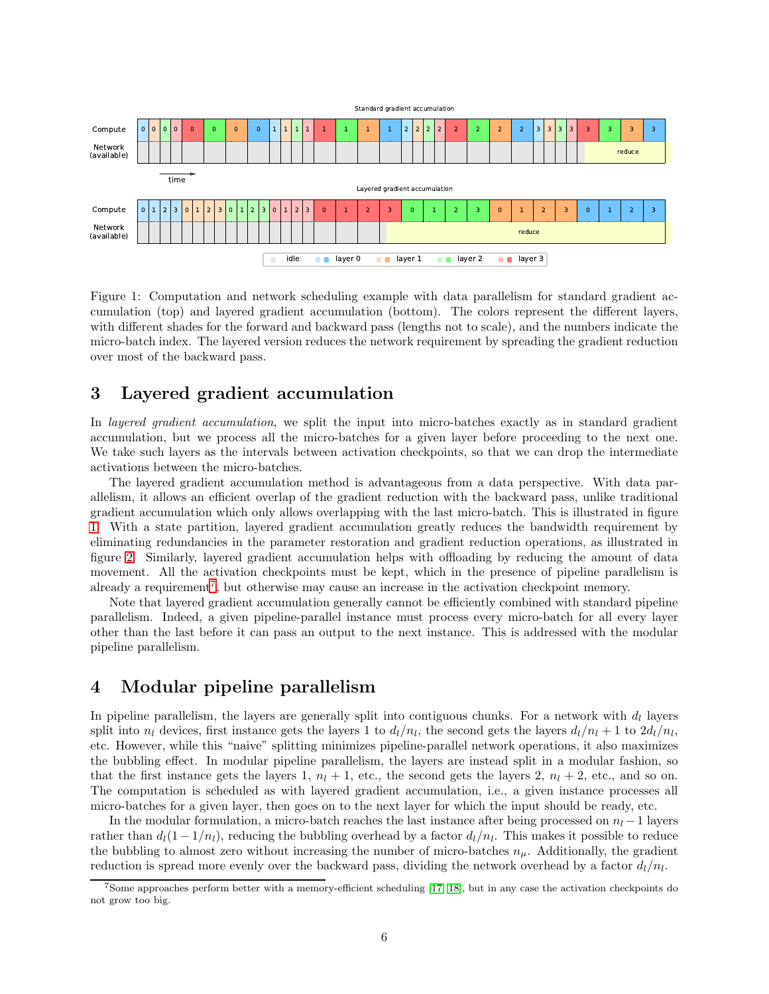

<span id="page-5-2"></span>Figure 1: Computation and network scheduling example with data parallelism for standard gradient accumulation (top) and layered gradient accumulation (bottom). The colors represent the different layers, with different shades for the forward and backward pass (lengths not to scale), and the numbers indicate the micro-batch index. The layered version reduces the network requirement by spreading the gradient reduction over most of the backward pass.

### <span id="page-5-0"></span>3 Layered gradient accumulation

In *layered gradient accumulation*, we split the input into micro-batches exactly as in standard gradient accumulation, but we process all the micro-batches for a given layer before proceeding to the next one. We take such layers as the intervals between activation checkpoints, so that we can drop the intermediate activations between the micro-batches.

The layered gradient accumulation method is advantageous from a data perspective. With data parallelism, it allows an efficient overlap of the gradient reduction with the backward pass, unlike traditional gradient accumulation which only allows overlapping with the last micro-batch. This is illustrated in figure [1.](#page-5-2) With a state partition, layered gradient accumulation greatly reduces the bandwidth requirement by eliminating redundancies in the parameter restoration and gradient reduction operations, as illustrated in figure [2.](#page-6-1) Similarly, layered gradient accumulation helps with offloading by reducing the amount of data movement. All the activation checkpoints must be kept, which in the presence of pipeline parallelism is already a requirement<sup>[7](#page-5-3)</sup>, but otherwise may cause an increase in the activation checkpoint memory.

Note that layered gradient accumulation generally cannot be efficiently combined with standard pipeline parallelism. Indeed, a given pipeline-parallel instance must process every micro-batch for all every layer other than the last before it can pass an output to the next instance. This is addressed with the modular pipeline parallelism.

### <span id="page-5-1"></span>4 Modular pipeline parallelism

In pipeline parallelism, the layers are generally split into contiguous chunks. For a network with  $d_l$  layers split into  $n_l$  devices, first instance gets the layers 1 to  $d_l/n_l$ , the second gets the layers  $d_l/n_l + 1$  to  $2d_l/n_l$ , etc. However, while this "naive" splitting minimizes pipeline-parallel network operations, it also maximizes the bubbling effect. In modular pipeline parallelism, the layers are instead split in a modular fashion, so that the first instance gets the layers 1,  $n_l + 1$ , etc., the second gets the layers 2,  $n_l + 2$ , etc., and so on. The computation is scheduled as with layered gradient accumulation, i.e., a given instance processes all micro-batches for a given layer, then goes on to the next layer for which the input should be ready, etc.

In the modular formulation, a micro-batch reaches the last instance after being processed on  $n_l - 1$  layers rather than  $d_l(1 - 1/n_l)$ , reducing the bubbling overhead by a factor  $d_l/n_l$ . This makes it possible to reduce the bubbling to almost zero without increasing the number of micro-batches  $n_{\mu}$ . Additionally, the gradient reduction is spread more evenly over the backward pass, dividing the network overhead by a factor  $d_l/n_l$ .

<span id="page-5-3"></span><sup>7</sup>Some approaches perform better with a memory-efficient scheduling [\[17,](#page-15-9) [18\]](#page-16-5), but in any case the activation checkpoints do not grow too big.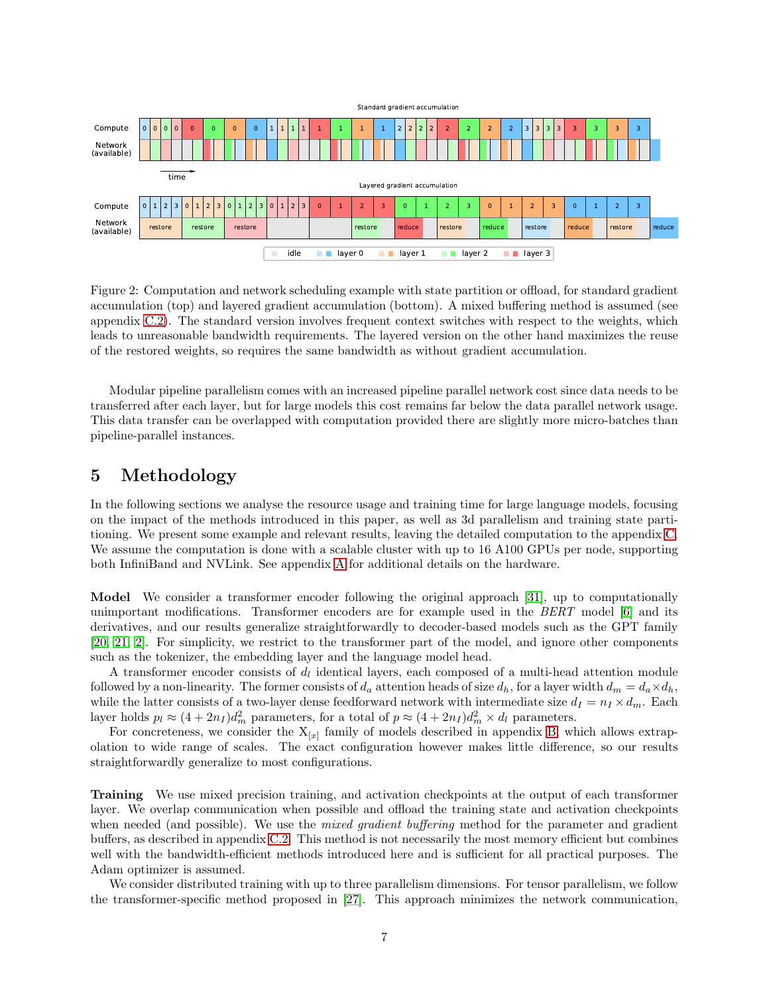

<span id="page-6-1"></span>Figure 2: Computation and network scheduling example with state partition or offload, for standard gradient accumulation (top) and layered gradient accumulation (bottom). A mixed buffering method is assumed (see appendix [C.2\)](#page-19-0). The standard version involves frequent context switches with respect to the weights, which leads to unreasonable bandwidth requirements. The layered version on the other hand maximizes the reuse of the restored weights, so requires the same bandwidth as without gradient accumulation.

Modular pipeline parallelism comes with an increased pipeline parallel network cost since data needs to be transferred after each layer, but for large models this cost remains far below the data parallel network usage. This data transfer can be overlapped with computation provided there are slightly more micro-batches than pipeline-parallel instances.

# <span id="page-6-0"></span>5 Methodology

In the following sections we analyse the resource usage and training time for large language models, focusing on the impact of the methods introduced in this paper, as well as 3d parallelism and training state partitioning. We present some example and relevant results, leaving the detailed computation to the appendix [C.](#page-18-1) We assume the computation is done with a scalable cluster with up to 16 A100 GPUs per node, supporting both InfiniBand and NVLink. See appendix [A](#page-16-13) for additional details on the hardware.

Model We consider a transformer encoder following the original approach [\[31\]](#page-16-0), up to computationally unimportant modifications. Transformer encoders are for example used in the BERT model [\[6\]](#page-15-1) and its derivatives, and our results generalize straightforwardly to decoder-based models such as the GPT family [\[20,](#page-16-14) [21,](#page-16-1) [2\]](#page-15-0). For simplicity, we restrict to the transformer part of the model, and ignore other components such as the tokenizer, the embedding layer and the language model head.

A transformer encoder consists of  $d_l$  identical layers, each composed of a multi-head attention module followed by a non-linearity. The former consists of  $d_a$  attention heads of size  $d_h$ , for a layer width  $d_m = d_a \times d_h$ , while the latter consists of a two-layer dense feedforward network with intermediate size  $d_I = n_I \times d_m$ . Each layer holds  $p_l \approx (4 + 2n_I) d_m^2$  parameters, for a total of  $p \approx (4 + 2n_I) d_m^2 \times d_l$  parameters.

For concreteness, we consider the  $X_{[x]}$  family of models described in appendix [B,](#page-17-0) which allows extrapolation to wide range of scales. The exact configuration however makes little difference, so our results straightforwardly generalize to most configurations.

Training We use mixed precision training, and activation checkpoints at the output of each transformer layer. We overlap communication when possible and offload the training state and activation checkpoints when needed (and possible). We use the *mixed gradient buffering* method for the parameter and gradient buffers, as described in appendix [C.2.](#page-19-0) This method is not necessarily the most memory efficient but combines well with the bandwidth-efficient methods introduced here and is sufficient for all practical purposes. The Adam optimizer is assumed.

We consider distributed training with up to three parallelism dimensions. For tensor parallelism, we follow the transformer-specific method proposed in [\[27\]](#page-16-4). This approach minimizes the network communication,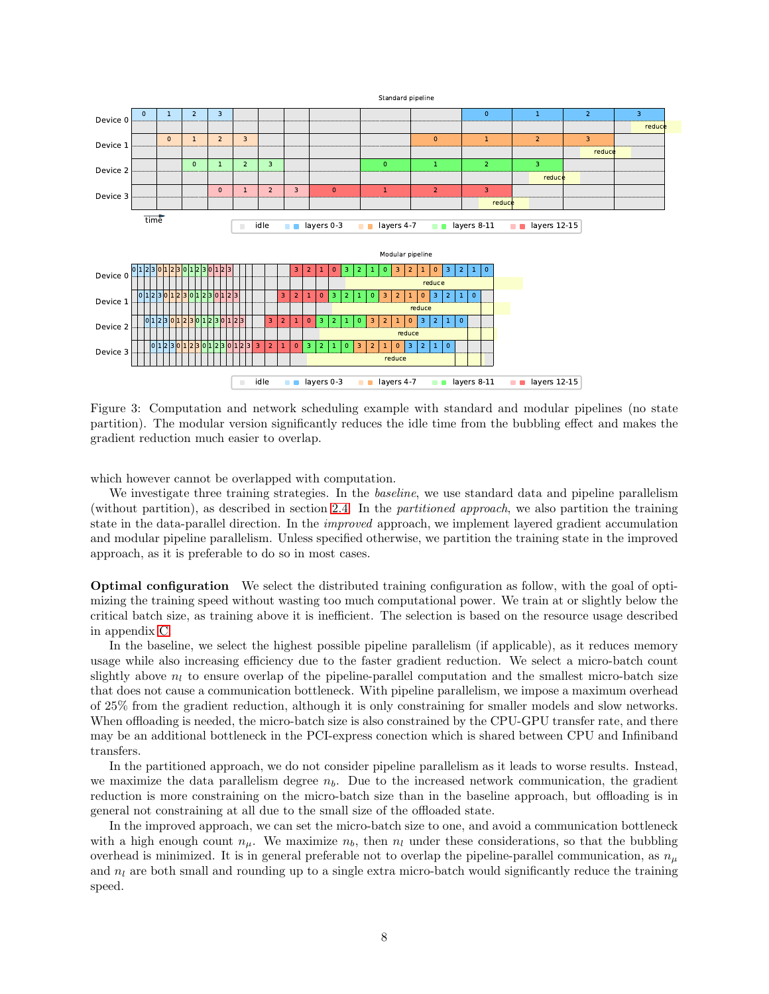

<span id="page-7-0"></span>Figure 3: Computation and network scheduling example with standard and modular pipelines (no state partition). The modular version significantly reduces the idle time from the bubbling effect and makes the gradient reduction much easier to overlap.

which however cannot be overlapped with computation.

We investigate three training strategies. In the *baseline*, we use standard data and pipeline parallelism (without partition), as described in section [2.4.](#page-2-1) In the partitioned approach, we also partition the training state in the data-parallel direction. In the *improved* approach, we implement layered gradient accumulation and modular pipeline parallelism. Unless specified otherwise, we partition the training state in the improved approach, as it is preferable to do so in most cases.

Optimal configuration We select the distributed training configuration as follow, with the goal of optimizing the training speed without wasting too much computational power. We train at or slightly below the critical batch size, as training above it is inefficient. The selection is based on the resource usage described in appendix [C.](#page-18-1)

In the baseline, we select the highest possible pipeline parallelism (if applicable), as it reduces memory usage while also increasing efficiency due to the faster gradient reduction. We select a micro-batch count slightly above  $n_l$  to ensure overlap of the pipeline-parallel computation and the smallest micro-batch size that does not cause a communication bottleneck. With pipeline parallelism, we impose a maximum overhead of 25% from the gradient reduction, although it is only constraining for smaller models and slow networks. When offloading is needed, the micro-batch size is also constrained by the CPU-GPU transfer rate, and there may be an additional bottleneck in the PCI-express conection which is shared between CPU and Infiniband transfers.

In the partitioned approach, we do not consider pipeline parallelism as it leads to worse results. Instead, we maximize the data parallelism degree  $n<sub>b</sub>$ . Due to the increased network communication, the gradient reduction is more constraining on the micro-batch size than in the baseline approach, but offloading is in general not constraining at all due to the small size of the offloaded state.

In the improved approach, we can set the micro-batch size to one, and avoid a communication bottleneck with a high enough count  $n_{\mu}$ . We maximize  $n_b$ , then  $n_l$  under these considerations, so that the bubbling overhead is minimized. It is in general preferable not to overlap the pipeline-parallel communication, as  $n_{\mu}$ and  $n_l$  are both small and rounding up to a single extra micro-batch would significantly reduce the training speed.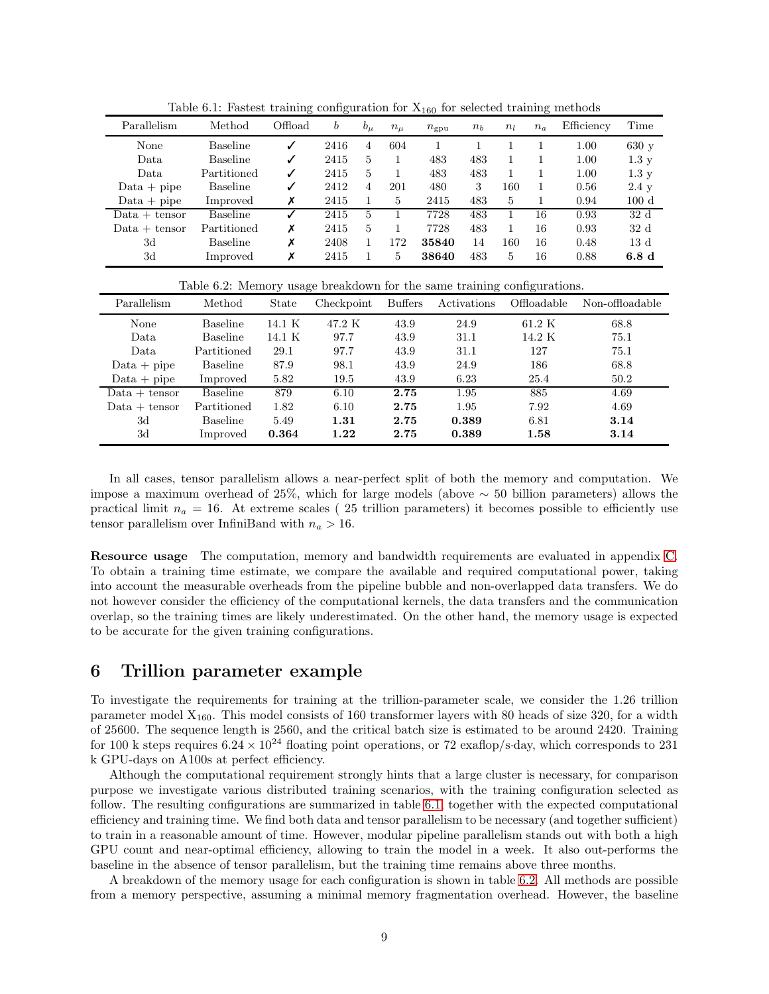| Parallelism     | Method          | Offload | b    | $b_{\mu}$ | $n_{\mu}$ | $n_{\rm gpu}$ | $n_{b}$ | $n_l$ | $n_a$ | Efficiency | Time            |
|-----------------|-----------------|---------|------|-----------|-----------|---------------|---------|-------|-------|------------|-----------------|
| None            | <b>Baseline</b> | ✓       | 2416 | 4         | 604       |               |         |       |       | 1.00       | 630 y           |
| Data            | <b>Baseline</b> | √       | 2415 | 5         |           | 483           | 483     | 1     |       | 1.00       | 1.3y            |
| Data            | Partitioned     | ✓       | 2415 | 5         |           | 483           | 483     | 1     |       | 1.00       | $1.3\mathrm{v}$ |
| $Data + pipe$   | <b>Baseline</b> | ✓       | 2412 | 4         | 201       | 480           | 3       | 160   | 1     | 0.56       | $2.4\text{ y}$  |
| $Data + pipe$   | Improved        | х       | 2415 |           | 5         | 2415          | 483     | 5     |       | 0.94       | 100d            |
| $Data + tensor$ | Baseline        |         | 2415 | 5         |           | 7728          | 483     | 1     | 16    | 0.93       | 32 <sub>d</sub> |
| $Data + tensor$ | Partitioned     | х       | 2415 | 5         |           | 7728          | 483     | 1     | 16    | 0.93       | 32d             |
| 3d              | <b>Baseline</b> | х       | 2408 |           | 172       | 35840         | 14      | 160   | 16    | 0.48       | 13 <sub>d</sub> |
| 3d              | Improved        | х       | 2415 |           | 5         | 38640         | 483     | 5     | 16    | 0.88       | 6.8d            |

<span id="page-8-1"></span>Table 6.1: Fastest training configuration for  $X_{160}$  for selected training methods

<span id="page-8-2"></span>Table 6.2: Memory usage breakdown for the same training configurations.

| Parallelism     | Method          | State  | Checkpoint | <b>Buffers</b> | Activations | Offloadable      | Non-offloadable |
|-----------------|-----------------|--------|------------|----------------|-------------|------------------|-----------------|
| None            | <b>Baseline</b> | 14.1 K | 47.2 K     | 43.9           | 24.9        | $61.2\text{ K}$  | 68.8            |
| Data            | <b>Baseline</b> | 14.1 K | 97.7       | 43.9           | 31.1        | $14.2\mathrm{K}$ | 75.1            |
| Data            | Partitioned     | 29.1   | 97.7       | 43.9           | 31.1        | 127              | 75.1            |
| $Data + pipe$   | <b>Baseline</b> | 87.9   | 98.1       | 43.9           | 24.9        | 186              | 68.8            |
| $Data + pipe$   | Improved        | 5.82   | 19.5       | 43.9           | 6.23        | 25.4             | 50.2            |
| $Data + tensor$ | <b>Baseline</b> | 879    | 6.10       | 2.75           | 1.95        | 885              | 4.69            |
| $Data + tensor$ | Partitioned     | 1.82   | 6.10       | 2.75           | 1.95        | 7.92             | 4.69            |
| 3d              | <b>Baseline</b> | 5.49   | 1.31       | 2.75           | 0.389       | 6.81             | 3.14            |
| 3d              | Improved        | 0.364  | 1.22       | 2.75           | 0.389       | 1.58             | 3.14            |

In all cases, tensor parallelism allows a near-perfect split of both the memory and computation. We impose a maximum overhead of 25%, which for large models (above  $\sim$  50 billion parameters) allows the practical limit  $n_a = 16$ . At extreme scales (25 trillion parameters) it becomes possible to efficiently use tensor parallelism over InfiniBand with  $n_a > 16$ .

Resource usage The computation, memory and bandwidth requirements are evaluated in appendix [C.](#page-18-1) To obtain a training time estimate, we compare the available and required computational power, taking into account the measurable overheads from the pipeline bubble and non-overlapped data transfers. We do not however consider the efficiency of the computational kernels, the data transfers and the communication overlap, so the training times are likely underestimated. On the other hand, the memory usage is expected to be accurate for the given training configurations.

### <span id="page-8-0"></span>6 Trillion parameter example

To investigate the requirements for training at the trillion-parameter scale, we consider the 1.26 trillion parameter model  $X_{160}$ . This model consists of 160 transformer layers with 80 heads of size 320, for a width of 25600. The sequence length is 2560, and the critical batch size is estimated to be around 2420. Training for 100 k steps requires  $6.24 \times 10^{24}$  floating point operations, or 72 exaflop/s·day, which corresponds to 231 k GPU-days on A100s at perfect efficiency.

Although the computational requirement strongly hints that a large cluster is necessary, for comparison purpose we investigate various distributed training scenarios, with the training configuration selected as follow. The resulting configurations are summarized in table [6.1,](#page-8-1) together with the expected computational efficiency and training time. We find both data and tensor parallelism to be necessary (and together sufficient) to train in a reasonable amount of time. However, modular pipeline parallelism stands out with both a high GPU count and near-optimal efficiency, allowing to train the model in a week. It also out-performs the baseline in the absence of tensor parallelism, but the training time remains above three months.

A breakdown of the memory usage for each configuration is shown in table [6.2.](#page-8-2) All methods are possible from a memory perspective, assuming a minimal memory fragmentation overhead. However, the baseline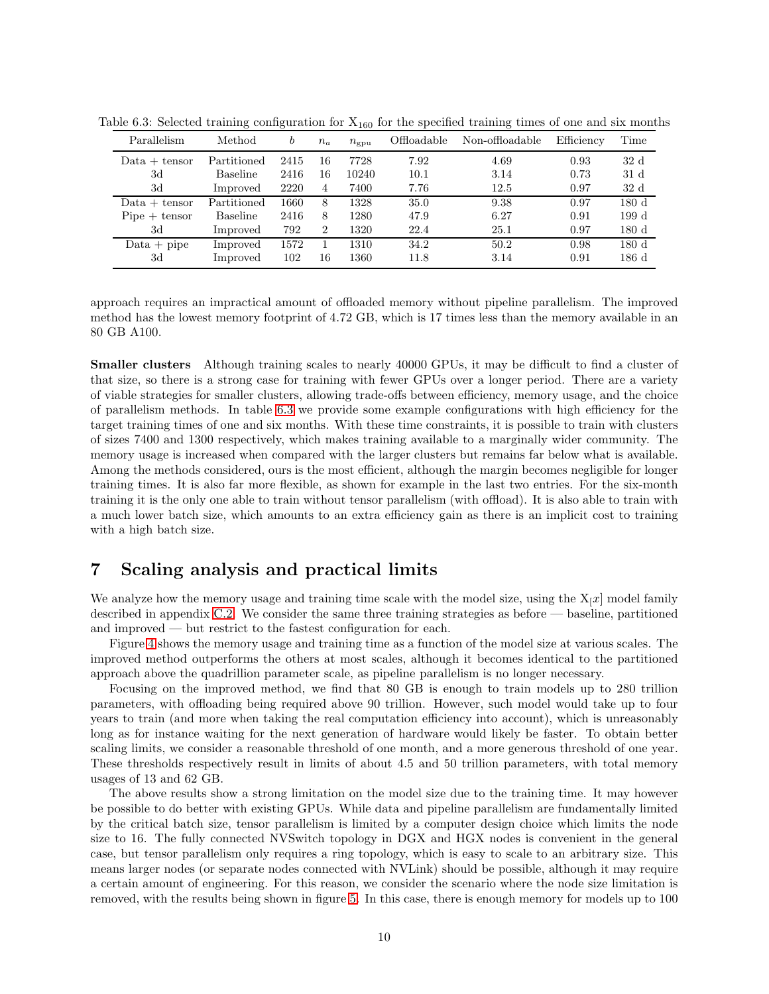<span id="page-9-1"></span>

| Parallelism     | Method      | b    | $n_a$          | $n_{\rm g_{\rm D}u}$ | Offloadable | Non-offloadable | Efficiency | Time |
|-----------------|-------------|------|----------------|----------------------|-------------|-----------------|------------|------|
| $Data + tensor$ | Partitioned | 2415 | 16             | 7728                 | 7.92        | 4.69            | 0.93       | 32d  |
| 3d              | Baseline    | 2416 | 16             | 10240                | 10.1        | 3.14            | 0.73       | 31 d |
| 3d              | Improved    | 2220 | 4              | 7400                 | 7.76        | 12.5            | 0.97       | 32d  |
| $Data + tensor$ | Partitioned | 1660 | 8              | 1328                 | 35.0        | 9.38            | 0.97       | 180d |
| $Pipe + tensor$ | Baseline    | 2416 | 8              | 1280                 | 47.9        | 6.27            | 0.91       | 199d |
| 3d              | Improved    | 792  | $\overline{2}$ | 1320                 | 22.4        | 25.1            | 0.97       | 180d |
| $Data + pipe$   | Improved    | 1572 |                | 1310                 | 34.2        | 50.2            | 0.98       | 180d |
| 3d              | Improved    | 102  | 16             | 1360                 | 11.8        | 3.14            | 0.91       | 186d |

Table 6.3: Selected training configuration for  $X_{160}$  for the specified training times of one and six months

approach requires an impractical amount of offloaded memory without pipeline parallelism. The improved method has the lowest memory footprint of 4.72 GB, which is 17 times less than the memory available in an 80 GB A100.

Smaller clusters Although training scales to nearly 40000 GPUs, it may be difficult to find a cluster of that size, so there is a strong case for training with fewer GPUs over a longer period. There are a variety of viable strategies for smaller clusters, allowing trade-offs between efficiency, memory usage, and the choice of parallelism methods. In table [6.3](#page-9-1) we provide some example configurations with high efficiency for the target training times of one and six months. With these time constraints, it is possible to train with clusters of sizes 7400 and 1300 respectively, which makes training available to a marginally wider community. The memory usage is increased when compared with the larger clusters but remains far below what is available. Among the methods considered, ours is the most efficient, although the margin becomes negligible for longer training times. It is also far more flexible, as shown for example in the last two entries. For the six-month training it is the only one able to train without tensor parallelism (with offload). It is also able to train with a much lower batch size, which amounts to an extra efficiency gain as there is an implicit cost to training with a high batch size.

# <span id="page-9-0"></span>7 Scaling analysis and practical limits

We analyze how the memory usage and training time scale with the model size, using the  $X[x]$  model family described in appendix [C.2.](#page-19-0) We consider the same three training strategies as before — baseline, partitioned and improved — but restrict to the fastest configuration for each.

Figure [4](#page-10-0) shows the memory usage and training time as a function of the model size at various scales. The improved method outperforms the others at most scales, although it becomes identical to the partitioned approach above the quadrillion parameter scale, as pipeline parallelism is no longer necessary.

Focusing on the improved method, we find that 80 GB is enough to train models up to 280 trillion parameters, with offloading being required above 90 trillion. However, such model would take up to four years to train (and more when taking the real computation efficiency into account), which is unreasonably long as for instance waiting for the next generation of hardware would likely be faster. To obtain better scaling limits, we consider a reasonable threshold of one month, and a more generous threshold of one year. These thresholds respectively result in limits of about 4.5 and 50 trillion parameters, with total memory usages of 13 and 62 GB.

The above results show a strong limitation on the model size due to the training time. It may however be possible to do better with existing GPUs. While data and pipeline parallelism are fundamentally limited by the critical batch size, tensor parallelism is limited by a computer design choice which limits the node size to 16. The fully connected NVSwitch topology in DGX and HGX nodes is convenient in the general case, but tensor parallelism only requires a ring topology, which is easy to scale to an arbitrary size. This means larger nodes (or separate nodes connected with NVLink) should be possible, although it may require a certain amount of engineering. For this reason, we consider the scenario where the node size limitation is removed, with the results being shown in figure [5.](#page-10-1) In this case, there is enough memory for models up to 100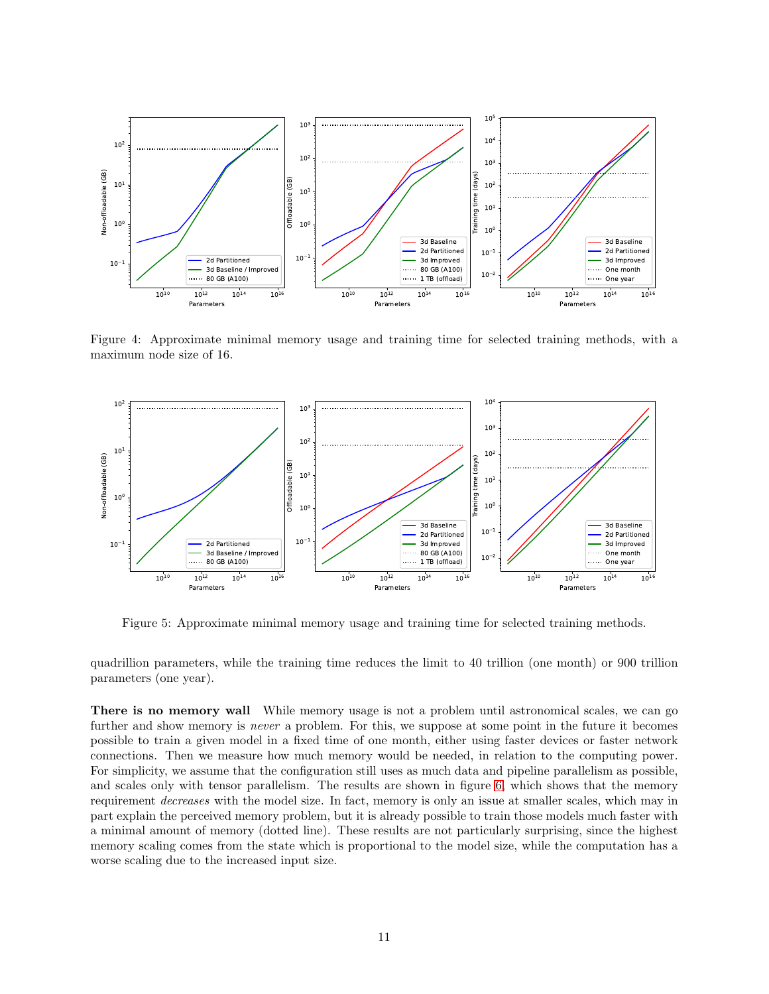

<span id="page-10-0"></span>Figure 4: Approximate minimal memory usage and training time for selected training methods, with a maximum node size of 16.



<span id="page-10-1"></span>Figure 5: Approximate minimal memory usage and training time for selected training methods.

quadrillion parameters, while the training time reduces the limit to 40 trillion (one month) or 900 trillion parameters (one year).

There is no memory wall While memory usage is not a problem until astronomical scales, we can go further and show memory is *never* a problem. For this, we suppose at some point in the future it becomes possible to train a given model in a fixed time of one month, either using faster devices or faster network connections. Then we measure how much memory would be needed, in relation to the computing power. For simplicity, we assume that the configuration still uses as much data and pipeline parallelism as possible, and scales only with tensor parallelism. The results are shown in figure [6,](#page-11-2) which shows that the memory requirement decreases with the model size. In fact, memory is only an issue at smaller scales, which may in part explain the perceived memory problem, but it is already possible to train those models much faster with a minimal amount of memory (dotted line). These results are not particularly surprising, since the highest memory scaling comes from the state which is proportional to the model size, while the computation has a worse scaling due to the increased input size.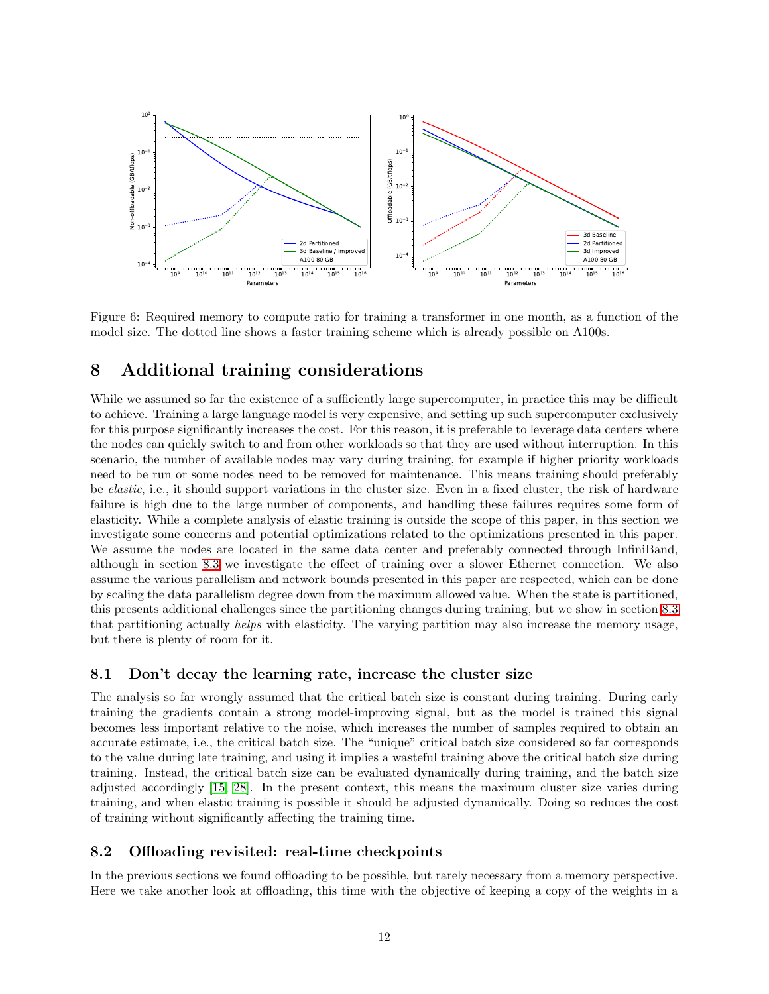

<span id="page-11-2"></span>Figure 6: Required memory to compute ratio for training a transformer in one month, as a function of the model size. The dotted line shows a faster training scheme which is already possible on A100s.

# <span id="page-11-1"></span>8 Additional training considerations

While we assumed so far the existence of a sufficiently large supercomputer, in practice this may be difficult to achieve. Training a large language model is very expensive, and setting up such supercomputer exclusively for this purpose significantly increases the cost. For this reason, it is preferable to leverage data centers where the nodes can quickly switch to and from other workloads so that they are used without interruption. In this scenario, the number of available nodes may vary during training, for example if higher priority workloads need to be run or some nodes need to be removed for maintenance. This means training should preferably be *elastic*, i.e., it should support variations in the cluster size. Even in a fixed cluster, the risk of hardware failure is high due to the large number of components, and handling these failures requires some form of elasticity. While a complete analysis of elastic training is outside the scope of this paper, in this section we investigate some concerns and potential optimizations related to the optimizations presented in this paper. We assume the nodes are located in the same data center and preferably connected through InfiniBand, although in section [8.3](#page-12-0) we investigate the effect of training over a slower Ethernet connection. We also assume the various parallelism and network bounds presented in this paper are respected, which can be done by scaling the data parallelism degree down from the maximum allowed value. When the state is partitioned, this presents additional challenges since the partitioning changes during training, but we show in section [8.3](#page-12-0) that partitioning actually helps with elasticity. The varying partition may also increase the memory usage, but there is plenty of room for it.

### 8.1 Don't decay the learning rate, increase the cluster size

The analysis so far wrongly assumed that the critical batch size is constant during training. During early training the gradients contain a strong model-improving signal, but as the model is trained this signal becomes less important relative to the noise, which increases the number of samples required to obtain an accurate estimate, i.e., the critical batch size. The "unique" critical batch size considered so far corresponds to the value during late training, and using it implies a wasteful training above the critical batch size during training. Instead, the critical batch size can be evaluated dynamically during training, and the batch size adjusted accordingly [\[15,](#page-15-5) [28\]](#page-16-15). In the present context, this means the maximum cluster size varies during training, and when elastic training is possible it should be adjusted dynamically. Doing so reduces the cost of training without significantly affecting the training time.

### <span id="page-11-0"></span>8.2 Offloading revisited: real-time checkpoints

In the previous sections we found offloading to be possible, but rarely necessary from a memory perspective. Here we take another look at offloading, this time with the objective of keeping a copy of the weights in a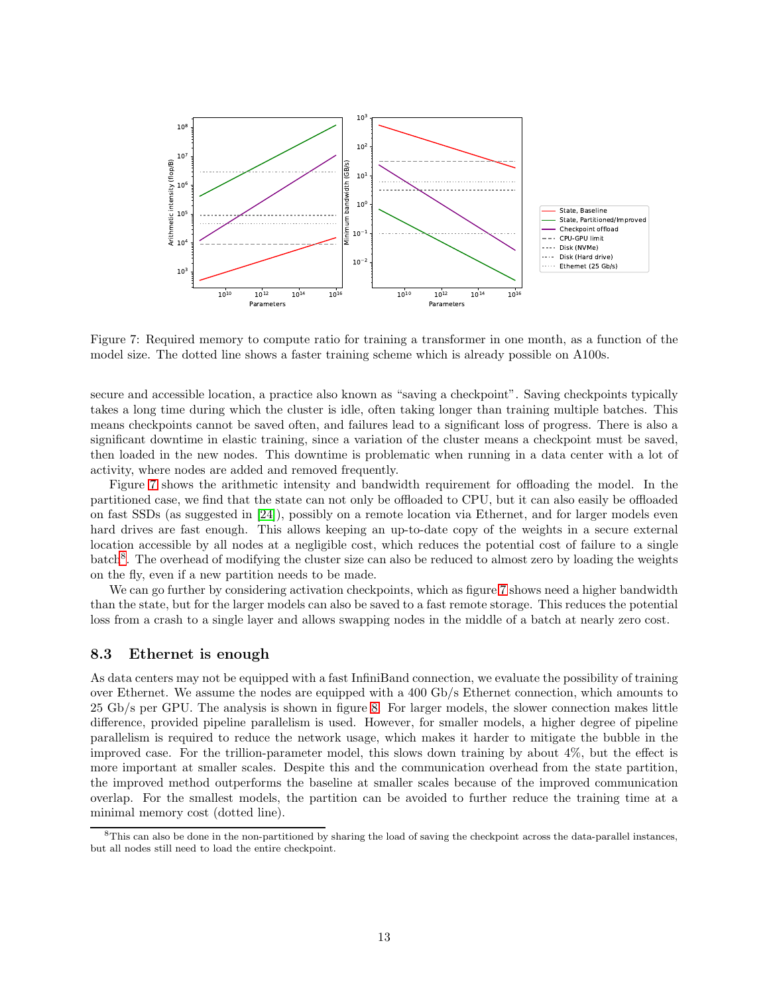

<span id="page-12-1"></span>Figure 7: Required memory to compute ratio for training a transformer in one month, as a function of the model size. The dotted line shows a faster training scheme which is already possible on A100s.

secure and accessible location, a practice also known as "saving a checkpoint". Saving checkpoints typically takes a long time during which the cluster is idle, often taking longer than training multiple batches. This means checkpoints cannot be saved often, and failures lead to a significant loss of progress. There is also a significant downtime in elastic training, since a variation of the cluster means a checkpoint must be saved, then loaded in the new nodes. This downtime is problematic when running in a data center with a lot of activity, where nodes are added and removed frequently.

Figure [7](#page-12-1) shows the arithmetic intensity and bandwidth requirement for offloading the model. In the partitioned case, we find that the state can not only be offloaded to CPU, but it can also easily be offloaded on fast SSDs (as suggested in [\[24\]](#page-16-8)), possibly on a remote location via Ethernet, and for larger models even hard drives are fast enough. This allows keeping an up-to-date copy of the weights in a secure external location accessible by all nodes at a negligible cost, which reduces the potential cost of failure to a single batch<sup>[8](#page-12-2)</sup>. The overhead of modifying the cluster size can also be reduced to almost zero by loading the weights on the fly, even if a new partition needs to be made.

We can go further by considering activation checkpoints, which as figure [7](#page-12-1) shows need a higher bandwidth than the state, but for the larger models can also be saved to a fast remote storage. This reduces the potential loss from a crash to a single layer and allows swapping nodes in the middle of a batch at nearly zero cost.

#### <span id="page-12-0"></span>8.3 Ethernet is enough

As data centers may not be equipped with a fast InfiniBand connection, we evaluate the possibility of training over Ethernet. We assume the nodes are equipped with a 400 Gb/s Ethernet connection, which amounts to 25 Gb/s per GPU. The analysis is shown in figure [8.](#page-13-1) For larger models, the slower connection makes little difference, provided pipeline parallelism is used. However, for smaller models, a higher degree of pipeline parallelism is required to reduce the network usage, which makes it harder to mitigate the bubble in the improved case. For the trillion-parameter model, this slows down training by about 4%, but the effect is more important at smaller scales. Despite this and the communication overhead from the state partition, the improved method outperforms the baseline at smaller scales because of the improved communication overlap. For the smallest models, the partition can be avoided to further reduce the training time at a minimal memory cost (dotted line).

<span id="page-12-2"></span><sup>&</sup>lt;sup>8</sup>This can also be done in the non-partitioned by sharing the load of saving the checkpoint across the data-parallel instances, but all nodes still need to load the entire checkpoint.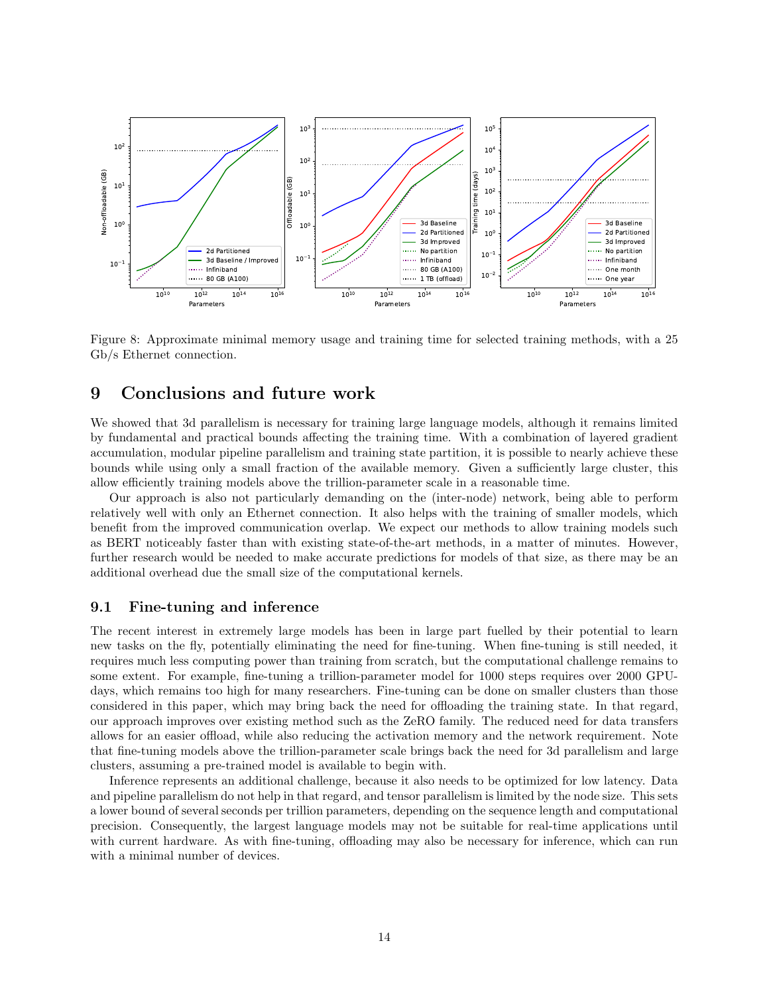

<span id="page-13-1"></span>Figure 8: Approximate minimal memory usage and training time for selected training methods, with a 25 Gb/s Ethernet connection.

# <span id="page-13-0"></span>9 Conclusions and future work

We showed that 3d parallelism is necessary for training large language models, although it remains limited by fundamental and practical bounds affecting the training time. With a combination of layered gradient accumulation, modular pipeline parallelism and training state partition, it is possible to nearly achieve these bounds while using only a small fraction of the available memory. Given a sufficiently large cluster, this allow efficiently training models above the trillion-parameter scale in a reasonable time.

Our approach is also not particularly demanding on the (inter-node) network, being able to perform relatively well with only an Ethernet connection. It also helps with the training of smaller models, which benefit from the improved communication overlap. We expect our methods to allow training models such as BERT noticeably faster than with existing state-of-the-art methods, in a matter of minutes. However, further research would be needed to make accurate predictions for models of that size, as there may be an additional overhead due the small size of the computational kernels.

#### 9.1 Fine-tuning and inference

The recent interest in extremely large models has been in large part fuelled by their potential to learn new tasks on the fly, potentially eliminating the need for fine-tuning. When fine-tuning is still needed, it requires much less computing power than training from scratch, but the computational challenge remains to some extent. For example, fine-tuning a trillion-parameter model for 1000 steps requires over 2000 GPUdays, which remains too high for many researchers. Fine-tuning can be done on smaller clusters than those considered in this paper, which may bring back the need for offloading the training state. In that regard, our approach improves over existing method such as the ZeRO family. The reduced need for data transfers allows for an easier offload, while also reducing the activation memory and the network requirement. Note that fine-tuning models above the trillion-parameter scale brings back the need for 3d parallelism and large clusters, assuming a pre-trained model is available to begin with.

Inference represents an additional challenge, because it also needs to be optimized for low latency. Data and pipeline parallelism do not help in that regard, and tensor parallelism is limited by the node size. This sets a lower bound of several seconds per trillion parameters, depending on the sequence length and computational precision. Consequently, the largest language models may not be suitable for real-time applications until with current hardware. As with fine-tuning, offloading may also be necessary for inference, which can run with a minimal number of devices.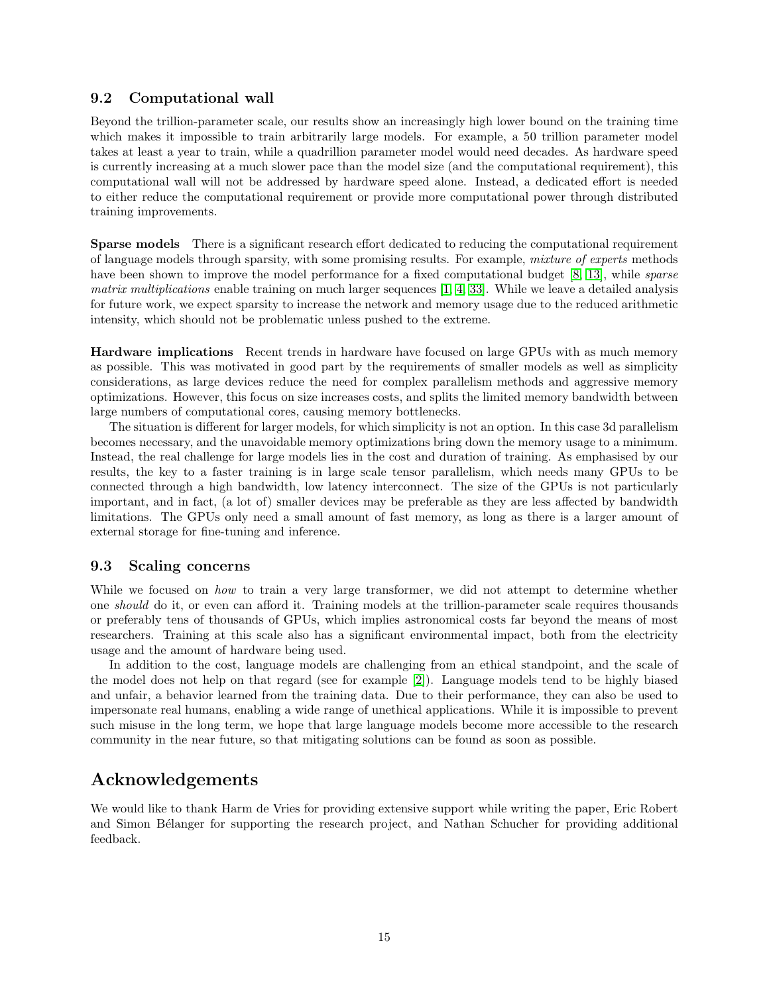#### 9.2 Computational wall

Beyond the trillion-parameter scale, our results show an increasingly high lower bound on the training time which makes it impossible to train arbitrarily large models. For example, a 50 trillion parameter model takes at least a year to train, while a quadrillion parameter model would need decades. As hardware speed is currently increasing at a much slower pace than the model size (and the computational requirement), this computational wall will not be addressed by hardware speed alone. Instead, a dedicated effort is needed to either reduce the computational requirement or provide more computational power through distributed training improvements.

Sparse models There is a significant research effort dedicated to reducing the computational requirement of language models through sparsity, with some promising results. For example, mixture of experts methods have been shown to improve the model performance for a fixed computational budget [\[8,](#page-15-2) [13\]](#page-15-13), while *sparse* matrix multiplications enable training on much larger sequences [\[1,](#page-15-14) [4,](#page-15-15) [33\]](#page-16-16). While we leave a detailed analysis for future work, we expect sparsity to increase the network and memory usage due to the reduced arithmetic intensity, which should not be problematic unless pushed to the extreme.

Hardware implications Recent trends in hardware have focused on large GPUs with as much memory as possible. This was motivated in good part by the requirements of smaller models as well as simplicity considerations, as large devices reduce the need for complex parallelism methods and aggressive memory optimizations. However, this focus on size increases costs, and splits the limited memory bandwidth between large numbers of computational cores, causing memory bottlenecks.

The situation is different for larger models, for which simplicity is not an option. In this case 3d parallelism becomes necessary, and the unavoidable memory optimizations bring down the memory usage to a minimum. Instead, the real challenge for large models lies in the cost and duration of training. As emphasised by our results, the key to a faster training is in large scale tensor parallelism, which needs many GPUs to be connected through a high bandwidth, low latency interconnect. The size of the GPUs is not particularly important, and in fact, (a lot of) smaller devices may be preferable as they are less affected by bandwidth limitations. The GPUs only need a small amount of fast memory, as long as there is a larger amount of external storage for fine-tuning and inference.

### 9.3 Scaling concerns

While we focused on *how* to train a very large transformer, we did not attempt to determine whether one should do it, or even can afford it. Training models at the trillion-parameter scale requires thousands or preferably tens of thousands of GPUs, which implies astronomical costs far beyond the means of most researchers. Training at this scale also has a significant environmental impact, both from the electricity usage and the amount of hardware being used.

In addition to the cost, language models are challenging from an ethical standpoint, and the scale of the model does not help on that regard (see for example [\[2\]](#page-15-0)). Language models tend to be highly biased and unfair, a behavior learned from the training data. Due to their performance, they can also be used to impersonate real humans, enabling a wide range of unethical applications. While it is impossible to prevent such misuse in the long term, we hope that large language models become more accessible to the research community in the near future, so that mitigating solutions can be found as soon as possible.

# Acknowledgements

We would like to thank Harm de Vries for providing extensive support while writing the paper, Eric Robert and Simon Bélanger for supporting the research project, and Nathan Schucher for providing additional feedback.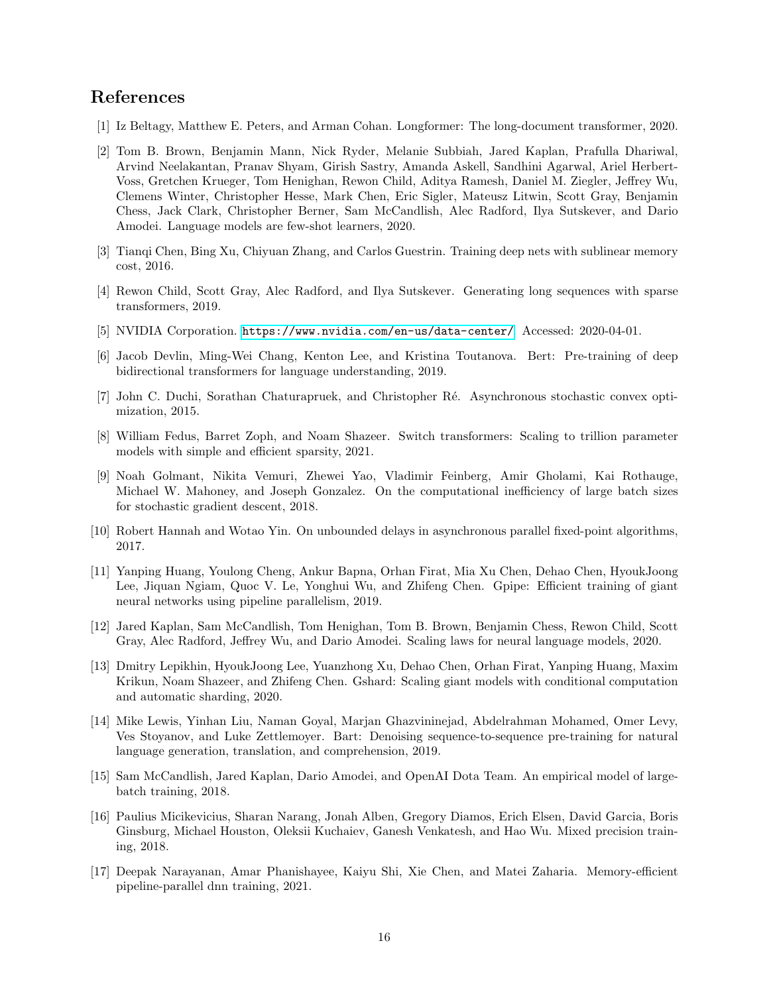# <span id="page-15-14"></span>References

- <span id="page-15-0"></span>[1] Iz Beltagy, Matthew E. Peters, and Arman Cohan. Longformer: The long-document transformer, 2020.
- [2] Tom B. Brown, Benjamin Mann, Nick Ryder, Melanie Subbiah, Jared Kaplan, Prafulla Dhariwal, Arvind Neelakantan, Pranav Shyam, Girish Sastry, Amanda Askell, Sandhini Agarwal, Ariel Herbert-Voss, Gretchen Krueger, Tom Henighan, Rewon Child, Aditya Ramesh, Daniel M. Ziegler, Jeffrey Wu, Clemens Winter, Christopher Hesse, Mark Chen, Eric Sigler, Mateusz Litwin, Scott Gray, Benjamin Chess, Jack Clark, Christopher Berner, Sam McCandlish, Alec Radford, Ilya Sutskever, and Dario Amodei. Language models are few-shot learners, 2020.
- <span id="page-15-15"></span><span id="page-15-12"></span>[3] Tianqi Chen, Bing Xu, Chiyuan Zhang, and Carlos Guestrin. Training deep nets with sublinear memory cost, 2016.
- <span id="page-15-16"></span>[4] Rewon Child, Scott Gray, Alec Radford, and Ilya Sutskever. Generating long sequences with sparse transformers, 2019.
- <span id="page-15-1"></span>[5] NVIDIA Corporation. <https://www.nvidia.com/en-us/data-center/>. Accessed: 2020-04-01.
- <span id="page-15-10"></span>[6] Jacob Devlin, Ming-Wei Chang, Kenton Lee, and Kristina Toutanova. Bert: Pre-training of deep bidirectional transformers for language understanding, 2019.
- <span id="page-15-2"></span>[7] John C. Duchi, Sorathan Chaturapruek, and Christopher Ré. Asynchronous stochastic convex optimization, 2015.
- [8] William Fedus, Barret Zoph, and Noam Shazeer. Switch transformers: Scaling to trillion parameter models with simple and efficient sparsity, 2021.
- <span id="page-15-4"></span>[9] Noah Golmant, Nikita Vemuri, Zhewei Yao, Vladimir Feinberg, Amir Gholami, Kai Rothauge, Michael W. Mahoney, and Joseph Gonzalez. On the computational inefficiency of large batch sizes for stochastic gradient descent, 2018.
- <span id="page-15-11"></span><span id="page-15-8"></span>[10] Robert Hannah and Wotao Yin. On unbounded delays in asynchronous parallel fixed-point algorithms, 2017.
- [11] Yanping Huang, Youlong Cheng, Ankur Bapna, Orhan Firat, Mia Xu Chen, Dehao Chen, HyoukJoong Lee, Jiquan Ngiam, Quoc V. Le, Yonghui Wu, and Zhifeng Chen. Gpipe: Efficient training of giant neural networks using pipeline parallelism, 2019.
- <span id="page-15-6"></span>[12] Jared Kaplan, Sam McCandlish, Tom Henighan, Tom B. Brown, Benjamin Chess, Rewon Child, Scott Gray, Alec Radford, Jeffrey Wu, and Dario Amodei. Scaling laws for neural language models, 2020.
- <span id="page-15-13"></span>[13] Dmitry Lepikhin, HyoukJoong Lee, Yuanzhong Xu, Dehao Chen, Orhan Firat, Yanping Huang, Maxim Krikun, Noam Shazeer, and Zhifeng Chen. Gshard: Scaling giant models with conditional computation and automatic sharding, 2020.
- <span id="page-15-3"></span>[14] Mike Lewis, Yinhan Liu, Naman Goyal, Marjan Ghazvininejad, Abdelrahman Mohamed, Omer Levy, Ves Stoyanov, and Luke Zettlemoyer. Bart: Denoising sequence-to-sequence pre-training for natural language generation, translation, and comprehension, 2019.
- <span id="page-15-5"></span>[15] Sam McCandlish, Jared Kaplan, Dario Amodei, and OpenAI Dota Team. An empirical model of largebatch training, 2018.
- <span id="page-15-7"></span>[16] Paulius Micikevicius, Sharan Narang, Jonah Alben, Gregory Diamos, Erich Elsen, David Garcia, Boris Ginsburg, Michael Houston, Oleksii Kuchaiev, Ganesh Venkatesh, and Hao Wu. Mixed precision training, 2018.
- <span id="page-15-9"></span>[17] Deepak Narayanan, Amar Phanishayee, Kaiyu Shi, Xie Chen, and Matei Zaharia. Memory-efficient pipeline-parallel dnn training, 2021.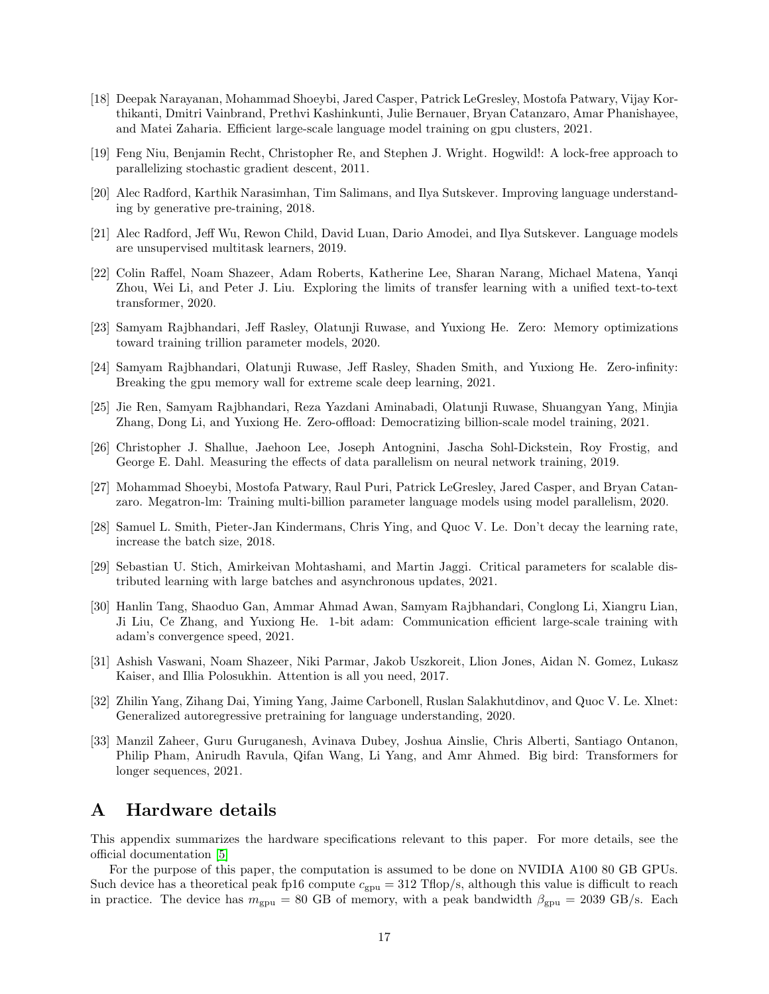- <span id="page-16-5"></span>[18] Deepak Narayanan, Mohammad Shoeybi, Jared Casper, Patrick LeGresley, Mostofa Patwary, Vijay Korthikanti, Dmitri Vainbrand, Prethvi Kashinkunti, Julie Bernauer, Bryan Catanzaro, Amar Phanishayee, and Matei Zaharia. Efficient large-scale language model training on gpu clusters, 2021.
- <span id="page-16-14"></span><span id="page-16-10"></span>[19] Feng Niu, Benjamin Recht, Christopher Re, and Stephen J. Wright. Hogwild!: A lock-free approach to parallelizing stochastic gradient descent, 2011.
- <span id="page-16-1"></span>[20] Alec Radford, Karthik Narasimhan, Tim Salimans, and Ilya Sutskever. Improving language understanding by generative pre-training, 2018.
- <span id="page-16-2"></span>[21] Alec Radford, Jeff Wu, Rewon Child, David Luan, Dario Amodei, and Ilya Sutskever. Language models are unsupervised multitask learners, 2019.
- [22] Colin Raffel, Noam Shazeer, Adam Roberts, Katherine Lee, Sharan Narang, Michael Matena, Yanqi Zhou, Wei Li, and Peter J. Liu. Exploring the limits of transfer learning with a unified text-to-text transformer, 2020.
- <span id="page-16-8"></span><span id="page-16-6"></span>[23] Samyam Rajbhandari, Jeff Rasley, Olatunji Ruwase, and Yuxiong He. Zero: Memory optimizations toward training trillion parameter models, 2020.
- [24] Samyam Rajbhandari, Olatunji Ruwase, Jeff Rasley, Shaden Smith, and Yuxiong He. Zero-infinity: Breaking the gpu memory wall for extreme scale deep learning, 2021.
- <span id="page-16-7"></span>[25] Jie Ren, Samyam Rajbhandari, Reza Yazdani Aminabadi, Olatunji Ruwase, Shuangyan Yang, Minjia Zhang, Dong Li, and Yuxiong He. Zero-offload: Democratizing billion-scale model training, 2021.
- <span id="page-16-9"></span>[26] Christopher J. Shallue, Jaehoon Lee, Joseph Antognini, Jascha Sohl-Dickstein, Roy Frostig, and George E. Dahl. Measuring the effects of data parallelism on neural network training, 2019.
- <span id="page-16-15"></span><span id="page-16-4"></span>[27] Mohammad Shoeybi, Mostofa Patwary, Raul Puri, Patrick LeGresley, Jared Casper, and Bryan Catanzaro. Megatron-lm: Training multi-billion parameter language models using model parallelism, 2020.
- [28] Samuel L. Smith, Pieter-Jan Kindermans, Chris Ying, and Quoc V. Le. Don't decay the learning rate, increase the batch size, 2018.
- <span id="page-16-11"></span>[29] Sebastian U. Stich, Amirkeivan Mohtashami, and Martin Jaggi. Critical parameters for scalable distributed learning with large batches and asynchronous updates, 2021.
- <span id="page-16-12"></span>[30] Hanlin Tang, Shaoduo Gan, Ammar Ahmad Awan, Samyam Rajbhandari, Conglong Li, Xiangru Lian, Ji Liu, Ce Zhang, and Yuxiong He. 1-bit adam: Communication efficient large-scale training with adam's convergence speed, 2021.
- <span id="page-16-0"></span>[31] Ashish Vaswani, Noam Shazeer, Niki Parmar, Jakob Uszkoreit, Llion Jones, Aidan N. Gomez, Lukasz Kaiser, and Illia Polosukhin. Attention is all you need, 2017.
- <span id="page-16-3"></span>[32] Zhilin Yang, Zihang Dai, Yiming Yang, Jaime Carbonell, Ruslan Salakhutdinov, and Quoc V. Le. Xlnet: Generalized autoregressive pretraining for language understanding, 2020.
- <span id="page-16-16"></span>[33] Manzil Zaheer, Guru Guruganesh, Avinava Dubey, Joshua Ainslie, Chris Alberti, Santiago Ontanon, Philip Pham, Anirudh Ravula, Qifan Wang, Li Yang, and Amr Ahmed. Big bird: Transformers for longer sequences, 2021.

### <span id="page-16-13"></span>A Hardware details

This appendix summarizes the hardware specifications relevant to this paper. For more details, see the official documentation [\[5\]](#page-15-16)

For the purpose of this paper, the computation is assumed to be done on NVIDIA A100 80 GB GPUs. Such device has a theoretical peak fp16 compute  $c_{\text{gpu}} = 312$  Tflop/s, although this value is difficult to reach in practice. The device has  $m_{\text{gpu}} = 80$  GB of memory, with a peak bandwidth  $\beta_{\text{gpu}} = 2039$  GB/s. Each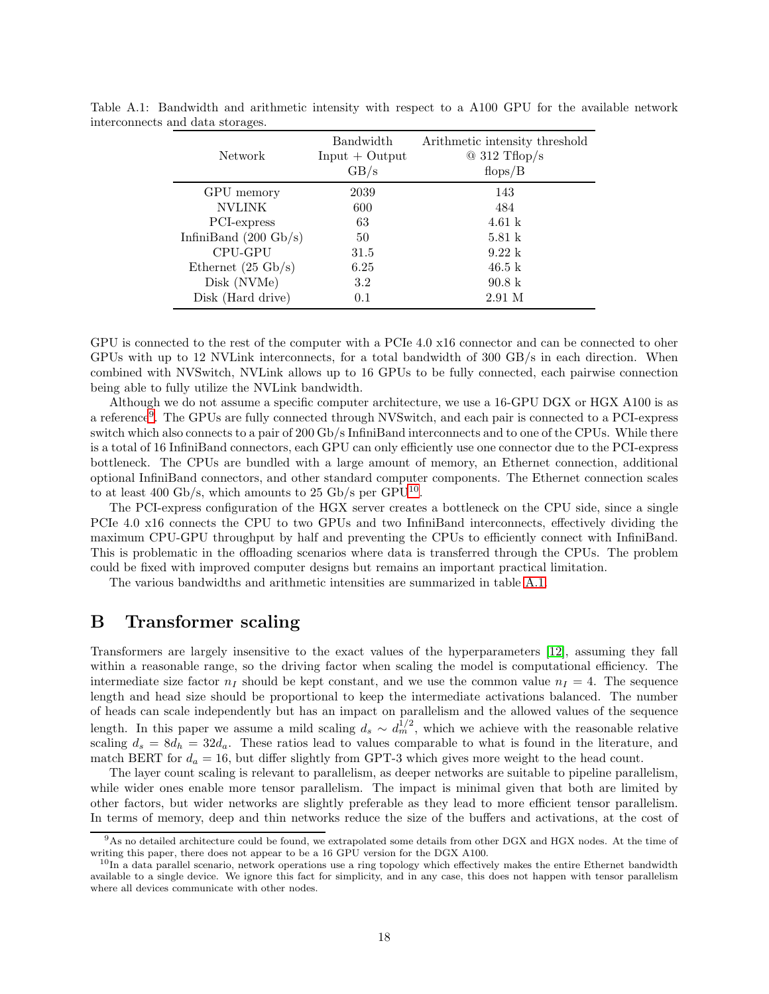<span id="page-17-3"></span>

| Network                         | Bandwidth<br>$Input + Output$<br>GB/s | Arithmetic intensity threshold<br>$@312$ Tflop/s<br>flops/B |
|---------------------------------|---------------------------------------|-------------------------------------------------------------|
| GPU memory                      | 2039                                  | 143                                                         |
| <b>NVLINK</b>                   | 600                                   | 484                                                         |
| PCI-express                     | 63                                    | $4.61\;{\rm k}$                                             |
| InfiniBand $(200 \text{ Gb/s})$ | 50                                    | $5.81\;{\rm k}$                                             |
| CPU-GPU                         | 31.5                                  | $9.22 \text{ k}$                                            |
| Ethernet $(25 \text{ Gb/s})$    | 6.25                                  | $46.5 \text{ k}$                                            |
| Disk (NVMe)                     | 3.2                                   | $90.8\ \mathrm{k}$                                          |
| Disk (Hard drive)               | 0.1                                   | 2.91 M                                                      |

Table A.1: Bandwidth and arithmetic intensity with respect to a A100 GPU for the available network interconnects and data storages.

GPU is connected to the rest of the computer with a PCIe 4.0 x16 connector and can be connected to oher GPUs with up to 12 NVLink interconnects, for a total bandwidth of 300 GB/s in each direction. When combined with NVSwitch, NVLink allows up to 16 GPUs to be fully connected, each pairwise connection being able to fully utilize the NVLink bandwidth.

Although we do not assume a specific computer architecture, we use a 16-GPU DGX or HGX A100 is as a reference[9](#page-17-1) . The GPUs are fully connected through NVSwitch, and each pair is connected to a PCI-express switch which also connects to a pair of 200 Gb/s InfiniBand interconnects and to one of the CPUs. While there is a total of 16 InfiniBand connectors, each GPU can only efficiently use one connector due to the PCI-express bottleneck. The CPUs are bundled with a large amount of memory, an Ethernet connection, additional optional InfiniBand connectors, and other standard computer components. The Ethernet connection scales to at least 400 Gb/s, which amounts to 25 Gb/s per GPU<sup>[10](#page-17-2)</sup>.

The PCI-express configuration of the HGX server creates a bottleneck on the CPU side, since a single PCIe 4.0 x16 connects the CPU to two GPUs and two InfiniBand interconnects, effectively dividing the maximum CPU-GPU throughput by half and preventing the CPUs to efficiently connect with InfiniBand. This is problematic in the offloading scenarios where data is transferred through the CPUs. The problem could be fixed with improved computer designs but remains an important practical limitation.

The various bandwidths and arithmetic intensities are summarized in table [A.1.](#page-17-3)

### <span id="page-17-0"></span>B Transformer scaling

Transformers are largely insensitive to the exact values of the hyperparameters [\[12\]](#page-15-6), assuming they fall within a reasonable range, so the driving factor when scaling the model is computational efficiency. The intermediate size factor  $n<sub>I</sub>$  should be kept constant, and we use the common value  $n<sub>I</sub> = 4$ . The sequence length and head size should be proportional to keep the intermediate activations balanced. The number of heads can scale independently but has an impact on parallelism and the allowed values of the sequence length. In this paper we assume a mild scaling  $d_s \sim d_m^{1/2}$ , which we achieve with the reasonable relative scaling  $d_s = 8d_h = 32d_a$ . These ratios lead to values comparable to what is found in the literature, and match BERT for  $d_a = 16$ , but differ slightly from GPT-3 which gives more weight to the head count.

The layer count scaling is relevant to parallelism, as deeper networks are suitable to pipeline parallelism, while wider ones enable more tensor parallelism. The impact is minimal given that both are limited by other factors, but wider networks are slightly preferable as they lead to more efficient tensor parallelism. In terms of memory, deep and thin networks reduce the size of the buffers and activations, at the cost of

<sup>&</sup>lt;sup>9</sup>As no detailed architecture could be found, we extrapolated some details from other DGX and HGX nodes. At the time of writing this paper, there does not appear to be a 16 GPU version for the DGX A100.

<span id="page-17-2"></span><span id="page-17-1"></span> $10$ In a data parallel scenario, network operations use a ring topology which effectively makes the entire Ethernet bandwidth available to a single device. We ignore this fact for simplicity, and in any case, this does not happen with tensor parallelism where all devices communicate with other nodes.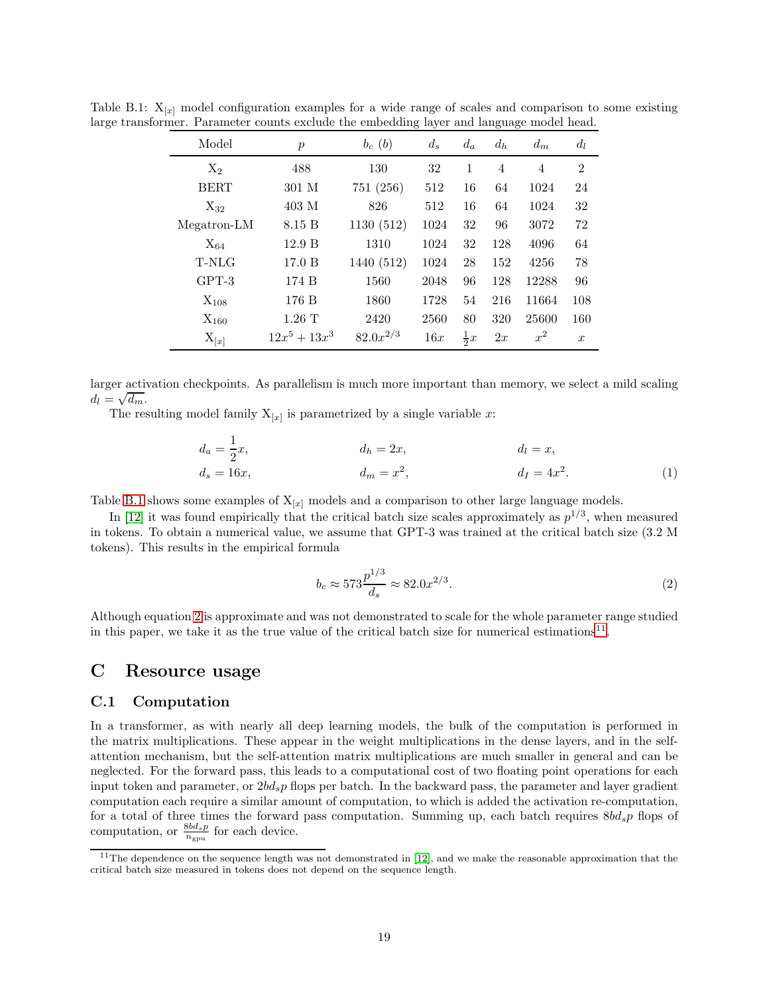<span id="page-18-2"></span>

| Model       | $\boldsymbol{p}$ | $b_c(b)$      | $d_s$ | $d_a$          | $d_h$          | $d_m$ | $d_l$            |
|-------------|------------------|---------------|-------|----------------|----------------|-------|------------------|
| $X_2$       | 488              | 130           | 32    | 1              | $\overline{4}$ | 4     | $\overline{2}$   |
| <b>BERT</b> | 301 M            | 751(256)      | 512   | 16             | 64             | 1024  | 24               |
| $X_{32}$    | 403 M            | 826           | 512   | 16             | 64             | 1024  | 32               |
| Megatron-LM | 8.15 B           | 1130(512)     | 1024  | 32             | 96             | 3072  | 72               |
| $X_{64}$    | 12.9 B           | 1310          | 1024  | 32             | 128            | 4096  | 64               |
| T-NLG       | 17.0 B           | 1440 (512)    | 1024  | 28             | 152            | 4256  | 78               |
| $GPT-3$     | 174 B            | 1560          | 2048  | 96             | 128            | 12288 | 96               |
| $X_{108}$   | 176 B            | 1860          | 1728  | 54             | 216            | 11664 | 108              |
| $X_{160}$   | $1.26$ T         | 2420          | 2560  | 80             | 320            | 25600 | 160              |
| $X_{[x]}$   | $12x^5 + 13x^3$  | $82.0x^{2/3}$ | 16x   | $\frac{1}{2}x$ | 2x             | $x^2$ | $\boldsymbol{x}$ |

Table B.1:  $X_{[x]}$  model configuration examples for a wide range of scales and comparison to some existing large transformer. Parameter counts exclude the embedding layer and language model head.

larger activation checkpoints. As parallelism is much more important than memory, we select a mild scaling  $d_l = \sqrt{d_m}$ .

The resulting model family  $X_{[x]}$  is parametrized by a single variable x:

$$
d_a = \frac{1}{2}x, \t d_h = 2x, \t d_l = x, \nd_s = 16x, \t d_m = x^2, \t d_l = 4x^2.
$$
\t(1)

Table [B.1](#page-18-2) shows some examples of  $X_{[x]}$  models and a comparison to other large language models.

In [\[12\]](#page-15-6) it was found empirically that the critical batch size scales approximately as  $p^{1/3}$ , when measured in tokens. To obtain a numerical value, we assume that GPT-3 was trained at the critical batch size (3.2 M tokens). This results in the empirical formula

<span id="page-18-0"></span>
$$
b_c \approx 573 \frac{p^{1/3}}{d_s} \approx 82.0 x^{2/3}.
$$
 (2)

Although equation [2](#page-18-0) is approximate and was not demonstrated to scale for the whole parameter range studied in this paper, we take it as the true value of the critical batch size for numerical estimations<sup>[11](#page-18-3)</sup>.

### <span id="page-18-1"></span>C Resource usage

#### C.1 Computation

In a transformer, as with nearly all deep learning models, the bulk of the computation is performed in the matrix multiplications. These appear in the weight multiplications in the dense layers, and in the selfattention mechanism, but the self-attention matrix multiplications are much smaller in general and can be neglected. For the forward pass, this leads to a computational cost of two floating point operations for each input token and parameter, or  $2bd_s p$  flops per batch. In the backward pass, the parameter and layer gradient computation each require a similar amount of computation, to which is added the activation re-computation, for a total of three times the forward pass computation. Summing up, each batch requires  $8bd_s p$  flops of computation, or  $\frac{8bd_s p}{n_{\text{gpu}}}$  for each device.

<span id="page-18-3"></span><sup>&</sup>lt;sup>11</sup>The dependence on the sequence length was not demonstrated in [\[12\]](#page-15-6), and we make the reasonable approximation that the critical batch size measured in tokens does not depend on the sequence length.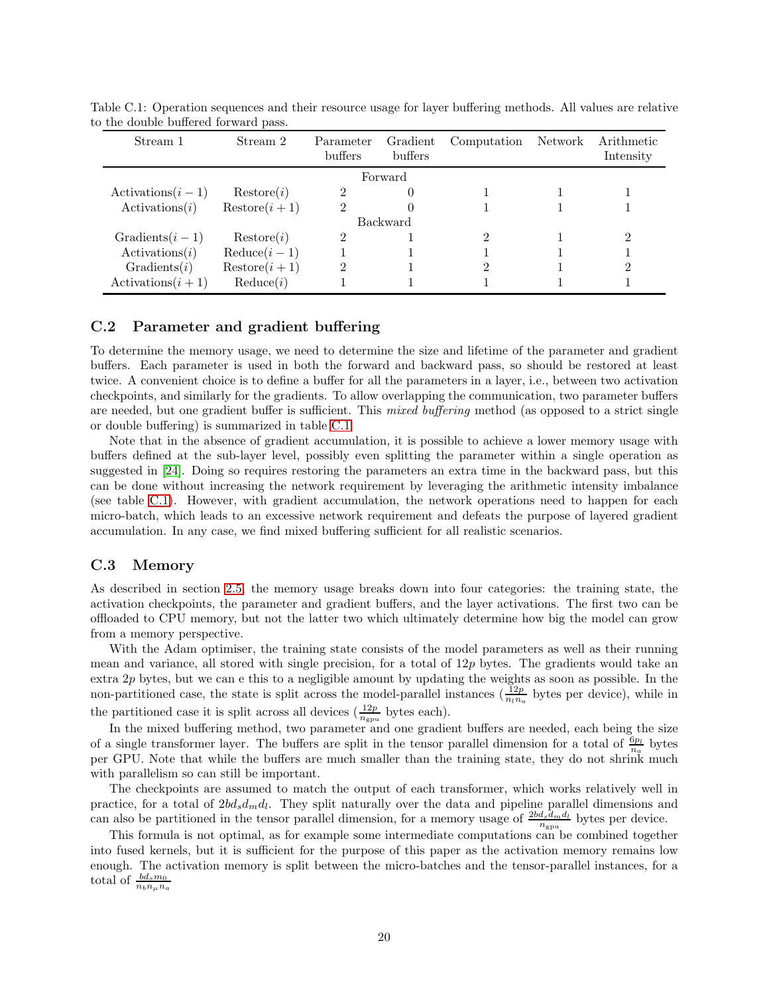<span id="page-19-1"></span>

| Stream 1                | Stream 2              | Parameter<br>buffers | Gradient<br><b>buffers</b> | Computation | Network | Arithmetic<br>Intensity |
|-------------------------|-----------------------|----------------------|----------------------------|-------------|---------|-------------------------|
|                         |                       |                      | Forward                    |             |         |                         |
| Activations $(i-1)$     | Restore(i)            | 2                    | $\left( \right)$           |             |         |                         |
| $\text{Activations}(i)$ | $\text{Restore}(i+1)$ | 2                    |                            |             |         |                         |
|                         |                       |                      | Backward                   |             |         |                         |
| Gradients $(i-1)$       | Restore(i)            | $\overline{2}$       |                            | 2           |         |                         |
| $\text{Activations}(i)$ | $Reduce(i-1)$         |                      |                            |             |         |                         |
| Gradients(i)            | $\text{Restore}(i+1)$ | 2                    |                            | ≘           |         | 2                       |
| Activations $(i + 1)$   | Reduce(i)             |                      |                            |             |         |                         |

Table C.1: Operation sequences and their resource usage for layer buffering methods. All values are relative to the double buffered forward pass.

### <span id="page-19-0"></span>C.2 Parameter and gradient buffering

To determine the memory usage, we need to determine the size and lifetime of the parameter and gradient buffers. Each parameter is used in both the forward and backward pass, so should be restored at least twice. A convenient choice is to define a buffer for all the parameters in a layer, i.e., between two activation checkpoints, and similarly for the gradients. To allow overlapping the communication, two parameter buffers are needed, but one gradient buffer is sufficient. This *mixed buffering* method (as opposed to a strict single or double buffering) is summarized in table [C.1.](#page-19-1)

Note that in the absence of gradient accumulation, it is possible to achieve a lower memory usage with buffers defined at the sub-layer level, possibly even splitting the parameter within a single operation as suggested in [\[24\]](#page-16-8). Doing so requires restoring the parameters an extra time in the backward pass, but this can be done without increasing the network requirement by leveraging the arithmetic intensity imbalance (see table [C.1\)](#page-19-1). However, with gradient accumulation, the network operations need to happen for each micro-batch, which leads to an excessive network requirement and defeats the purpose of layered gradient accumulation. In any case, we find mixed buffering sufficient for all realistic scenarios.

#### C.3 Memory

As described in section [2.5,](#page-3-5) the memory usage breaks down into four categories: the training state, the activation checkpoints, the parameter and gradient buffers, and the layer activations. The first two can be offloaded to CPU memory, but not the latter two which ultimately determine how big the model can grow from a memory perspective.

With the Adam optimiser, the training state consists of the model parameters as well as their running mean and variance, all stored with single precision, for a total of  $12p$  bytes. The gradients would take an extra  $2p$  bytes, but we can e this to a negligible amount by updating the weights as soon as possible. In the non-partitioned case, the state is split across the model-parallel instances  $(\frac{12p}{n_1n_a})$  bytes per device), while in the partitioned case it is split across all devices  $(\frac{12p}{n_{\text{gpu}}}$  bytes each).

In the mixed buffering method, two parameter and one gradient buffers are needed, each being the size of a single transformer layer. The buffers are split in the tensor parallel dimension for a total of  $\frac{6p_l}{n_a}$  bytes per GPU. Note that while the buffers are much smaller than the training state, they do not shrink much with parallelism so can still be important.

The checkpoints are assumed to match the output of each transformer, which works relatively well in practice, for a total of  $2bd_s d_m d_l$ . They split naturally over the data and pipeline parallel dimensions and can also be partitioned in the tensor parallel dimension, for a memory usage of  $\frac{2bd_sdmdi}{n_{\text{gpu}}}$  bytes per device.

This formula is not optimal, as for example some intermediate computations can be combined together into fused kernels, but it is sufficient for the purpose of this paper as the activation memory remains low enough. The activation memory is split between the micro-batches and the tensor-parallel instances, for a total of  $\frac{bd_s m_0}{n_b n_\mu n_a}$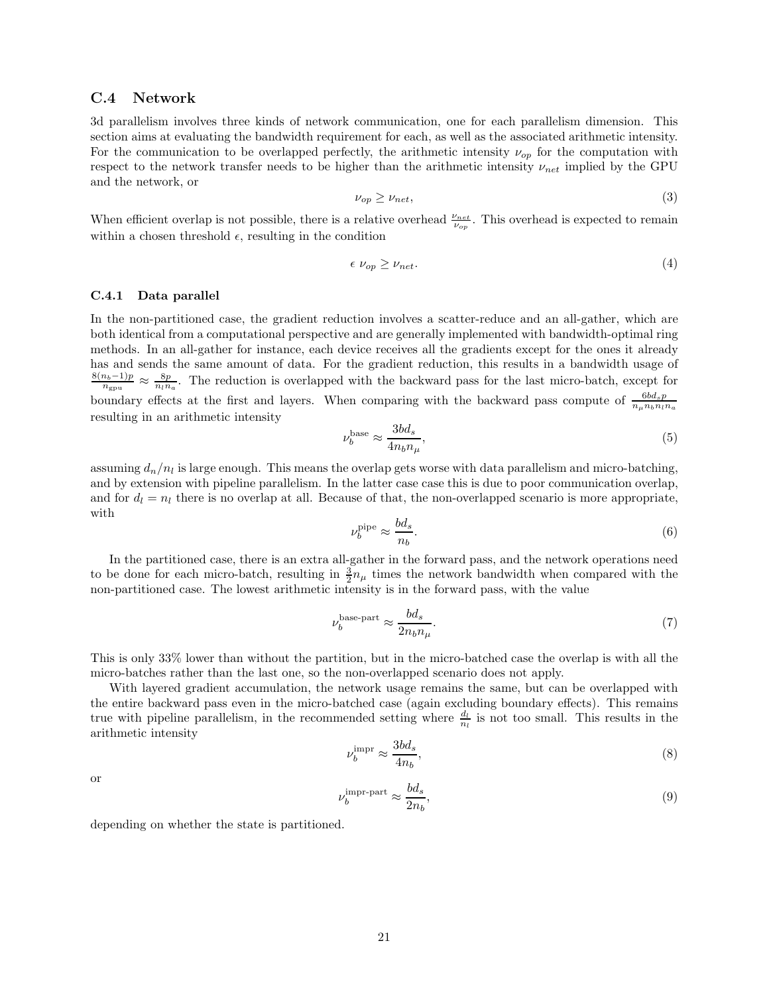#### C.4 Network

3d parallelism involves three kinds of network communication, one for each parallelism dimension. This section aims at evaluating the bandwidth requirement for each, as well as the associated arithmetic intensity. For the communication to be overlapped perfectly, the arithmetic intensity  $\nu_{op}$  for the computation with respect to the network transfer needs to be higher than the arithmetic intensity  $\nu_{net}$  implied by the GPU and the network, or

$$
\nu_{op} \ge \nu_{net},\tag{3}
$$

When efficient overlap is not possible, there is a relative overhead  $\frac{\nu_{net}}{\nu_{op}}$ . This overhead is expected to remain within a chosen threshold  $\epsilon$ , resulting in the condition

$$
\epsilon \nu_{op} \geq \nu_{net}.\tag{4}
$$

#### C.4.1 Data parallel

In the non-partitioned case, the gradient reduction involves a scatter-reduce and an all-gather, which are both identical from a computational perspective and are generally implemented with bandwidth-optimal ring methods. In an all-gather for instance, each device receives all the gradients except for the ones it already has and sends the same amount of data. For the gradient reduction, this results in a bandwidth usage of  $8(n_b-1)p$  $\frac{n_b-1)p}{n_{\text{gpu}}} \approx \frac{8p}{n_l n_a}$ . The reduction is overlapped with the backward pass for the last micro-batch, except for boundary effects at the first and layers. When comparing with the backward pass compute of  $\frac{6b d_s p}{n_\mu n_b n_l n_a}$ resulting in an arithmetic intensity

$$
\nu_b^{\text{base}} \approx \frac{3bd_s}{4n_b n_\mu},\tag{5}
$$

assuming  $d_n/n_l$  is large enough. This means the overlap gets worse with data parallelism and micro-batching, and by extension with pipeline parallelism. In the latter case case this is due to poor communication overlap, and for  $d_l = n_l$  there is no overlap at all. Because of that, the non-overlapped scenario is more appropriate, with

$$
\nu_b^{\text{pipe}} \approx \frac{bd_s}{n_b}.\tag{6}
$$

In the partitioned case, there is an extra all-gather in the forward pass, and the network operations need to be done for each micro-batch, resulting in  $\frac{3}{2}n_{\mu}$  times the network bandwidth when compared with the non-partitioned case. The lowest arithmetic intensity is in the forward pass, with the value

$$
\nu_b^{\text{base-part}} \approx \frac{bd_s}{2n_b n_\mu}.\tag{7}
$$

This is only 33% lower than without the partition, but in the micro-batched case the overlap is with all the micro-batches rather than the last one, so the non-overlapped scenario does not apply.

With layered gradient accumulation, the network usage remains the same, but can be overlapped with the entire backward pass even in the micro-batched case (again excluding boundary effects). This remains true with pipeline parallelism, in the recommended setting where  $\frac{d_l}{n_l}$  is not too small. This results in the arithmetic intensity

$$
\nu_b^{\rm{impr}} \approx \frac{3bd_s}{4n_b},\tag{8}
$$

or

$$
\nu_b^{\text{impr-part}} \approx \frac{bd_s}{2n_b},\tag{9}
$$

depending on whether the state is partitioned.